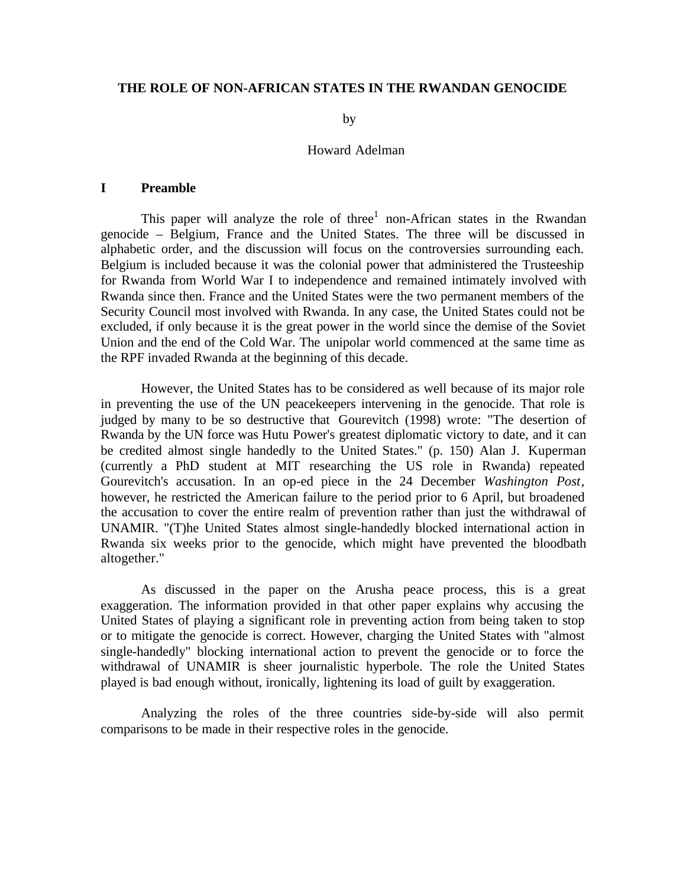# **THE ROLE OF NON-AFRICAN STATES IN THE RWANDAN GENOCIDE**

by

## Howard Adelman

# **I Preamble**

This paper will analyze the role of three<sup>1</sup> non-African states in the Rwandan genocide – Belgium, France and the United States. The three will be discussed in alphabetic order, and the discussion will focus on the controversies surrounding each. Belgium is included because it was the colonial power that administered the Trusteeship for Rwanda from World War I to independence and remained intimately involved with Rwanda since then. France and the United States were the two permanent members of the Security Council most involved with Rwanda. In any case, the United States could not be excluded, if only because it is the great power in the world since the demise of the Soviet Union and the end of the Cold War. The unipolar world commenced at the same time as the RPF invaded Rwanda at the beginning of this decade.

However, the United States has to be considered as well because of its major role in preventing the use of the UN peacekeepers intervening in the genocide. That role is judged by many to be so destructive that Gourevitch (1998) wrote: "The desertion of Rwanda by the UN force was Hutu Power's greatest diplomatic victory to date, and it can be credited almost single handedly to the United States." (p. 150) Alan J. Kuperman (currently a PhD student at MIT researching the US role in Rwanda) repeated Gourevitch's accusation. In an op-ed piece in the 24 December *Washington Post*, however, he restricted the American failure to the period prior to 6 April, but broadened the accusation to cover the entire realm of prevention rather than just the withdrawal of UNAMIR. "(T)he United States almost single-handedly blocked international action in Rwanda six weeks prior to the genocide, which might have prevented the bloodbath altogether."

As discussed in the paper on the Arusha peace process, this is a great exaggeration. The information provided in that other paper explains why accusing the United States of playing a significant role in preventing action from being taken to stop or to mitigate the genocide is correct. However, charging the United States with "almost single-handedly" blocking international action to prevent the genocide or to force the withdrawal of UNAMIR is sheer journalistic hyperbole. The role the United States played is bad enough without, ironically, lightening its load of guilt by exaggeration.

Analyzing the roles of the three countries side-by-side will also permit comparisons to be made in their respective roles in the genocide.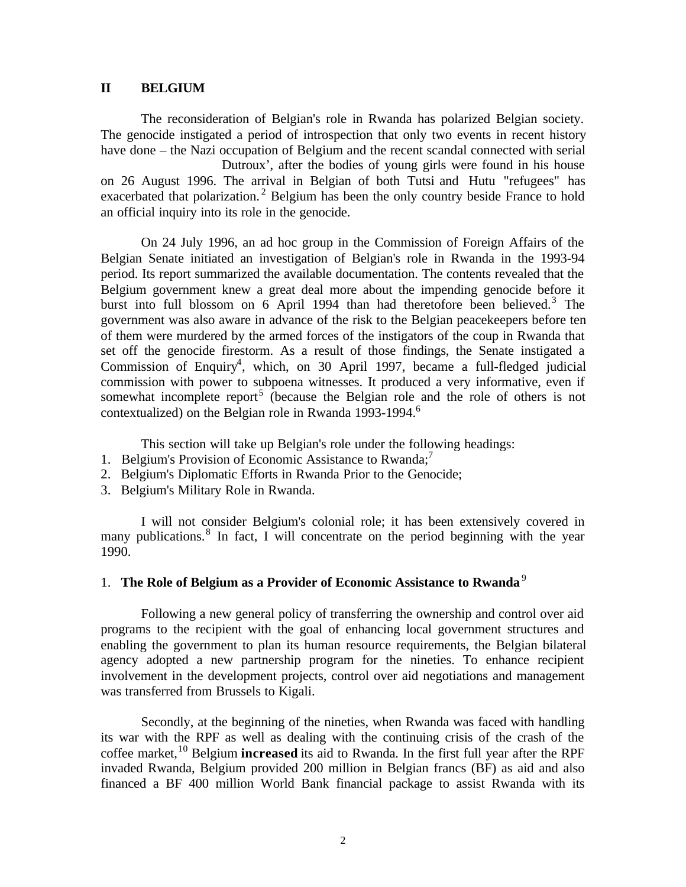# **II BELGIUM**

The reconsideration of Belgian's role in Rwanda has polarized Belgian society. The genocide instigated a period of introspection that only two events in recent history have done – the Nazi occupation of Belgium and the recent scandal connected with serial

Dutroux', after the bodies of young girls were found in his house on 26 August 1996. The arrival in Belgian of both Tutsi and Hutu "refugees" has exacerbated that polarization.<sup>2</sup> Belgium has been the only country beside France to hold an official inquiry into its role in the genocide.

On 24 July 1996, an ad hoc group in the Commission of Foreign Affairs of the Belgian Senate initiated an investigation of Belgian's role in Rwanda in the 1993-94 period. Its report summarized the available documentation. The contents revealed that the Belgium government knew a great deal more about the impending genocide before it burst into full blossom on  $6$  April 1994 than had theretofore been believed.<sup>3</sup> The government was also aware in advance of the risk to the Belgian peacekeepers before ten of them were murdered by the armed forces of the instigators of the coup in Rwanda that set off the genocide firestorm. As a result of those findings, the Senate instigated a Commission of Enquiry<sup>4</sup>, which, on 30 April 1997, became a full-fledged judicial commission with power to subpoena witnesses. It produced a very informative, even if somewhat incomplete report<sup>5</sup> (because the Belgian role and the role of others is not contextualized) on the Belgian role in Rwanda 1993-1994.<sup>6</sup>

This section will take up Belgian's role under the following headings:

- 1. Belgium's Provision of Economic Assistance to Rwanda;<sup>7</sup>
- 2. Belgium's Diplomatic Efforts in Rwanda Prior to the Genocide;
- 3. Belgium's Military Role in Rwanda.

I will not consider Belgium's colonial role; it has been extensively covered in many publications.<sup>8</sup> In fact, I will concentrate on the period beginning with the year 1990.

# 1. **The Role of Belgium as a Provider of Economic Assistance to Rwanda**<sup>9</sup>

Following a new general policy of transferring the ownership and control over aid programs to the recipient with the goal of enhancing local government structures and enabling the government to plan its human resource requirements, the Belgian bilateral agency adopted a new partnership program for the nineties. To enhance recipient involvement in the development projects, control over aid negotiations and management was transferred from Brussels to Kigali.

Secondly, at the beginning of the nineties, when Rwanda was faced with handling its war with the RPF as well as dealing with the continuing crisis of the crash of the coffee market.<sup>10</sup> Belgium **increased** its aid to Rwanda. In the first full year after the RPF invaded Rwanda, Belgium provided 200 million in Belgian francs (BF) as aid and also financed a BF 400 million World Bank financial package to assist Rwanda with its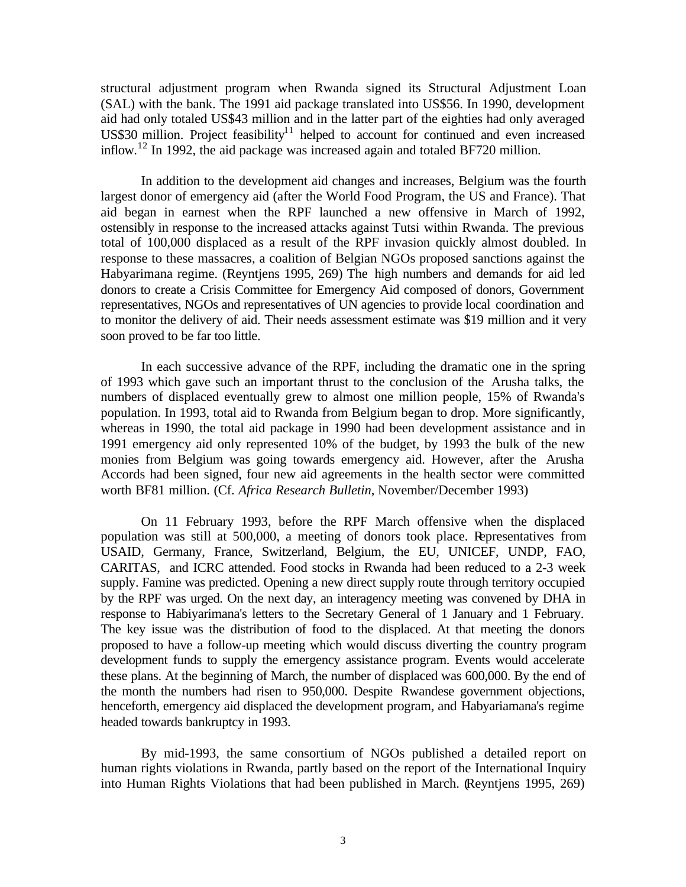structural adjustment program when Rwanda signed its Structural Adjustment Loan (SAL) with the bank. The 1991 aid package translated into US\$56. In 1990, development aid had only totaled US\$43 million and in the latter part of the eighties had only averaged US\$30 million. Project feasibility<sup>11</sup> helped to account for continued and even increased inflow.<sup>12</sup> In 1992, the aid package was increased again and totaled BF720 million.

In addition to the development aid changes and increases, Belgium was the fourth largest donor of emergency aid (after the World Food Program, the US and France). That aid began in earnest when the RPF launched a new offensive in March of 1992, ostensibly in response to the increased attacks against Tutsi within Rwanda. The previous total of 100,000 displaced as a result of the RPF invasion quickly almost doubled. In response to these massacres, a coalition of Belgian NGOs proposed sanctions against the Habyarimana regime. (Reyntjens 1995, 269) The high numbers and demands for aid led donors to create a Crisis Committee for Emergency Aid composed of donors, Government representatives, NGOs and representatives of UN agencies to provide local coordination and to monitor the delivery of aid. Their needs assessment estimate was \$19 million and it very soon proved to be far too little.

In each successive advance of the RPF, including the dramatic one in the spring of 1993 which gave such an important thrust to the conclusion of the Arusha talks, the numbers of displaced eventually grew to almost one million people, 15% of Rwanda's population. In 1993, total aid to Rwanda from Belgium began to drop. More significantly, whereas in 1990, the total aid package in 1990 had been development assistance and in 1991 emergency aid only represented 10% of the budget, by 1993 the bulk of the new monies from Belgium was going towards emergency aid. However, after the Arusha Accords had been signed, four new aid agreements in the health sector were committed worth BF81 million. (Cf. *Africa Research Bulletin*, November/December 1993)

On 11 February 1993, before the RPF March offensive when the displaced population was still at 500,000, a meeting of donors took place. Representatives from USAID, Germany, France, Switzerland, Belgium, the EU, UNICEF, UNDP, FAO, CARITAS, and ICRC attended. Food stocks in Rwanda had been reduced to a 2-3 week supply. Famine was predicted. Opening a new direct supply route through territory occupied by the RPF was urged. On the next day, an interagency meeting was convened by DHA in response to Habiyarimana's letters to the Secretary General of 1 January and 1 February. The key issue was the distribution of food to the displaced. At that meeting the donors proposed to have a follow-up meeting which would discuss diverting the country program development funds to supply the emergency assistance program. Events would accelerate these plans. At the beginning of March, the number of displaced was 600,000. By the end of the month the numbers had risen to 950,000. Despite Rwandese government objections, henceforth, emergency aid displaced the development program, and Habyariamana's regime headed towards bankruptcy in 1993.

By mid-1993, the same consortium of NGOs published a detailed report on human rights violations in Rwanda, partly based on the report of the International Inquiry into Human Rights Violations that had been published in March. (Reyntjens 1995, 269)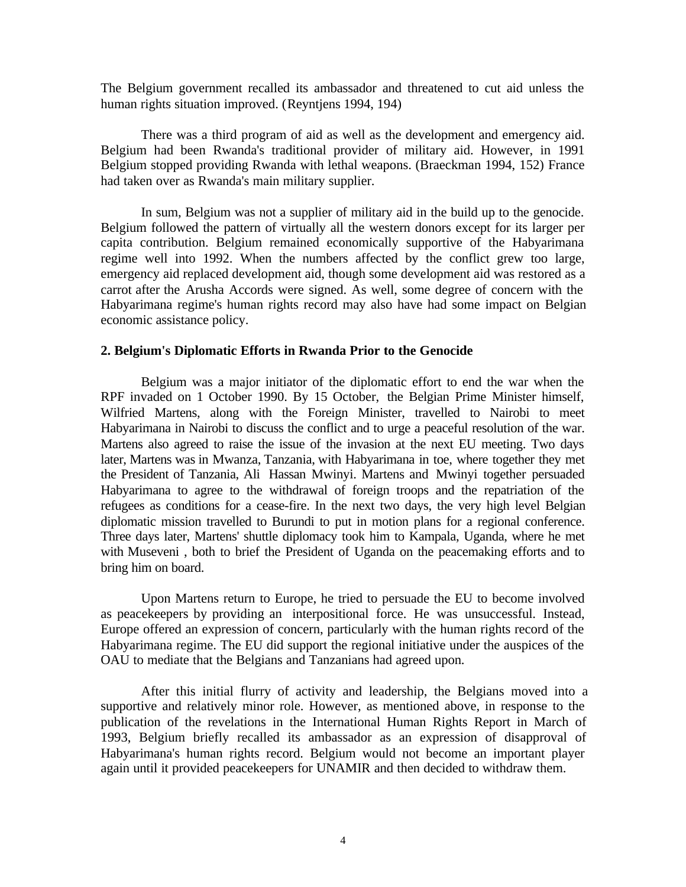The Belgium government recalled its ambassador and threatened to cut aid unless the human rights situation improved. (Reyntjens 1994, 194)

There was a third program of aid as well as the development and emergency aid. Belgium had been Rwanda's traditional provider of military aid. However, in 1991 Belgium stopped providing Rwanda with lethal weapons. (Braeckman 1994, 152) France had taken over as Rwanda's main military supplier.

In sum, Belgium was not a supplier of military aid in the build up to the genocide. Belgium followed the pattern of virtually all the western donors except for its larger per capita contribution. Belgium remained economically supportive of the Habyarimana regime well into 1992. When the numbers affected by the conflict grew too large, emergency aid replaced development aid, though some development aid was restored as a carrot after the Arusha Accords were signed. As well, some degree of concern with the Habyarimana regime's human rights record may also have had some impact on Belgian economic assistance policy.

# **2. Belgium's Diplomatic Efforts in Rwanda Prior to the Genocide**

Belgium was a major initiator of the diplomatic effort to end the war when the RPF invaded on 1 October 1990. By 15 October, the Belgian Prime Minister himself, Wilfried Martens, along with the Foreign Minister, travelled to Nairobi to meet Habyarimana in Nairobi to discuss the conflict and to urge a peaceful resolution of the war. Martens also agreed to raise the issue of the invasion at the next EU meeting. Two days later, Martens was in Mwanza, Tanzania, with Habyarimana in toe, where together they met the President of Tanzania, Ali Hassan Mwinyi. Martens and Mwinyi together persuaded Habyarimana to agree to the withdrawal of foreign troops and the repatriation of the refugees as conditions for a cease-fire. In the next two days, the very high level Belgian diplomatic mission travelled to Burundi to put in motion plans for a regional conference. Three days later, Martens' shuttle diplomacy took him to Kampala, Uganda, where he met with Museveni , both to brief the President of Uganda on the peacemaking efforts and to bring him on board.

Upon Martens return to Europe, he tried to persuade the EU to become involved as peacekeepers by providing an interpositional force. He was unsuccessful. Instead, Europe offered an expression of concern, particularly with the human rights record of the Habyarimana regime. The EU did support the regional initiative under the auspices of the OAU to mediate that the Belgians and Tanzanians had agreed upon.

After this initial flurry of activity and leadership, the Belgians moved into a supportive and relatively minor role. However, as mentioned above, in response to the publication of the revelations in the International Human Rights Report in March of 1993, Belgium briefly recalled its ambassador as an expression of disapproval of Habyarimana's human rights record. Belgium would not become an important player again until it provided peacekeepers for UNAMIR and then decided to withdraw them.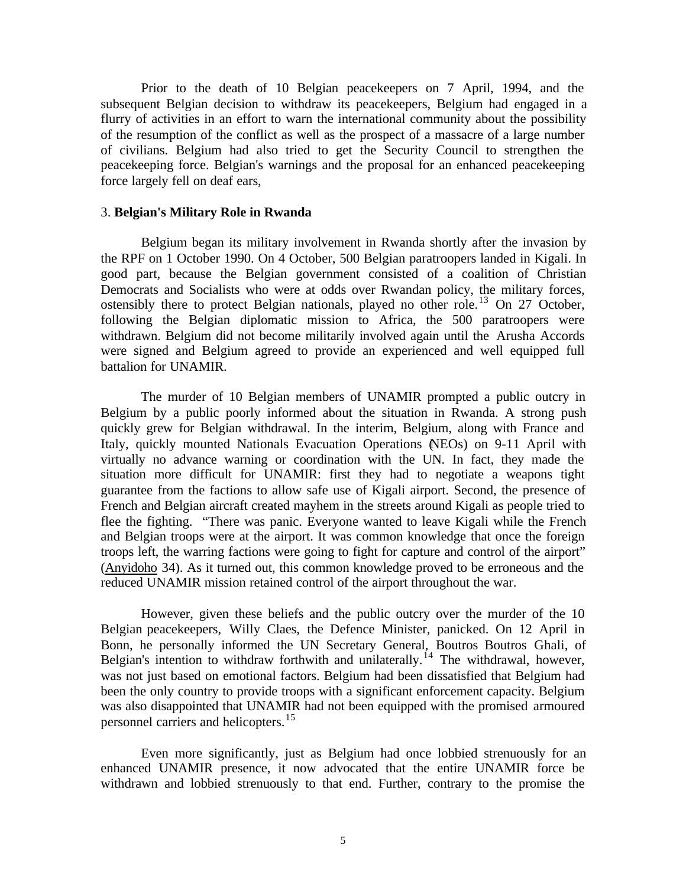Prior to the death of 10 Belgian peacekeepers on 7 April, 1994, and the subsequent Belgian decision to withdraw its peacekeepers, Belgium had engaged in a flurry of activities in an effort to warn the international community about the possibility of the resumption of the conflict as well as the prospect of a massacre of a large number of civilians. Belgium had also tried to get the Security Council to strengthen the peacekeeping force. Belgian's warnings and the proposal for an enhanced peacekeeping force largely fell on deaf ears,

## 3. **Belgian's Military Role in Rwanda**

Belgium began its military involvement in Rwanda shortly after the invasion by the RPF on 1 October 1990. On 4 October, 500 Belgian paratroopers landed in Kigali. In good part, because the Belgian government consisted of a coalition of Christian Democrats and Socialists who were at odds over Rwandan policy, the military forces, ostensibly there to protect Belgian nationals, played no other role.<sup>13</sup> On 27 October, following the Belgian diplomatic mission to Africa, the 500 paratroopers were withdrawn. Belgium did not become militarily involved again until the Arusha Accords were signed and Belgium agreed to provide an experienced and well equipped full battalion for UNAMIR.

The murder of 10 Belgian members of UNAMIR prompted a public outcry in Belgium by a public poorly informed about the situation in Rwanda. A strong push quickly grew for Belgian withdrawal. In the interim, Belgium, along with France and Italy, quickly mounted Nationals Evacuation Operations (NEOs) on 9-11 April with virtually no advance warning or coordination with the UN. In fact, they made the situation more difficult for UNAMIR: first they had to negotiate a weapons tight guarantee from the factions to allow safe use of Kigali airport. Second, the presence of French and Belgian aircraft created mayhem in the streets around Kigali as people tried to flee the fighting. "There was panic. Everyone wanted to leave Kigali while the French and Belgian troops were at the airport. It was common knowledge that once the foreign troops left, the warring factions were going to fight for capture and control of the airport" (Anyidoho 34). As it turned out, this common knowledge proved to be erroneous and the reduced UNAMIR mission retained control of the airport throughout the war.

However, given these beliefs and the public outcry over the murder of the 10 Belgian peacekeepers, Willy Claes, the Defence Minister, panicked. On 12 April in Bonn, he personally informed the UN Secretary General, Boutros Boutros Ghali, of Belgian's intention to withdraw forthwith and unilaterally.<sup>14</sup> The withdrawal, however, was not just based on emotional factors. Belgium had been dissatisfied that Belgium had been the only country to provide troops with a significant enforcement capacity. Belgium was also disappointed that UNAMIR had not been equipped with the promised armoured personnel carriers and helicopters.<sup>15</sup>

Even more significantly, just as Belgium had once lobbied strenuously for an enhanced UNAMIR presence, it now advocated that the entire UNAMIR force be withdrawn and lobbied strenuously to that end. Further, contrary to the promise the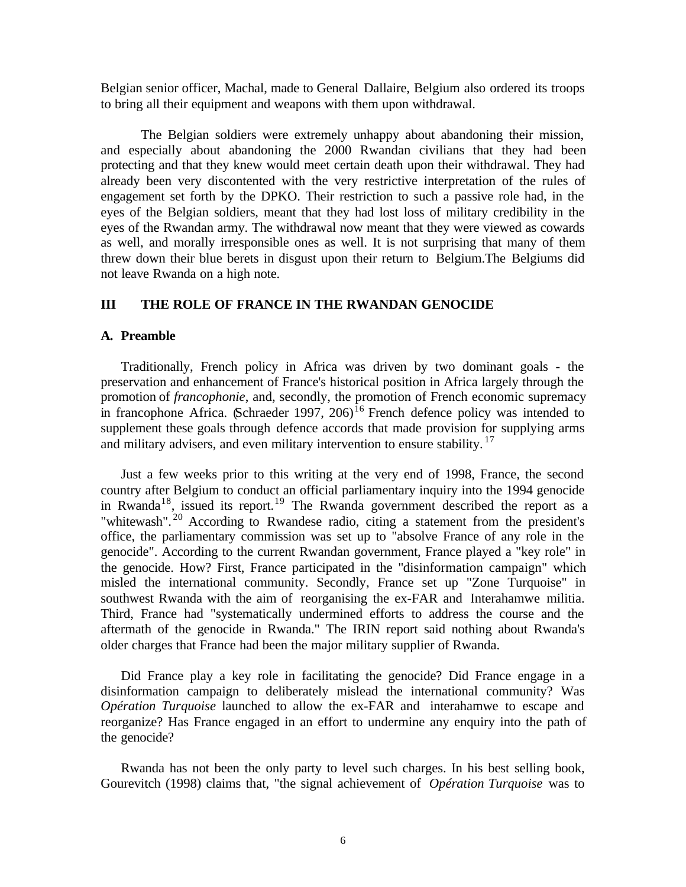Belgian senior officer, Machal, made to General Dallaire, Belgium also ordered its troops to bring all their equipment and weapons with them upon withdrawal.

The Belgian soldiers were extremely unhappy about abandoning their mission, and especially about abandoning the 2000 Rwandan civilians that they had been protecting and that they knew would meet certain death upon their withdrawal. They had already been very discontented with the very restrictive interpretation of the rules of engagement set forth by the DPKO. Their restriction to such a passive role had, in the eyes of the Belgian soldiers, meant that they had lost loss of military credibility in the eyes of the Rwandan army. The withdrawal now meant that they were viewed as cowards as well, and morally irresponsible ones as well. It is not surprising that many of them threw down their blue berets in disgust upon their return to Belgium.The Belgiums did not leave Rwanda on a high note.

# **III THE ROLE OF FRANCE IN THE RWANDAN GENOCIDE**

## **A. Preamble**

Traditionally, French policy in Africa was driven by two dominant goals - the preservation and enhancement of France's historical position in Africa largely through the promotion of *francophonie*, and, secondly, the promotion of French economic supremacy in francophone Africa. (Schraeder 1997, 206)<sup>16</sup> French defence policy was intended to supplement these goals through defence accords that made provision for supplying arms and military advisers, and even military intervention to ensure stability.<sup>17</sup>

Just a few weeks prior to this writing at the very end of 1998, France, the second country after Belgium to conduct an official parliamentary inquiry into the 1994 genocide in Rwanda<sup>18</sup>, issued its report.<sup>19</sup> The Rwanda government described the report as a "whitewash".<sup>20</sup> According to Rwandese radio, citing a statement from the president's office, the parliamentary commission was set up to "absolve France of any role in the genocide". According to the current Rwandan government, France played a "key role" in the genocide. How? First, France participated in the "disinformation campaign" which misled the international community. Secondly, France set up "Zone Turquoise" in southwest Rwanda with the aim of reorganising the ex-FAR and Interahamwe militia. Third, France had "systematically undermined efforts to address the course and the aftermath of the genocide in Rwanda." The IRIN report said nothing about Rwanda's older charges that France had been the major military supplier of Rwanda.

Did France play a key role in facilitating the genocide? Did France engage in a disinformation campaign to deliberately mislead the international community? Was *Opération Turquoise* launched to allow the ex-FAR and interahamwe to escape and reorganize? Has France engaged in an effort to undermine any enquiry into the path of the genocide?

Rwanda has not been the only party to level such charges. In his best selling book, Gourevitch (1998) claims that, "the signal achievement of *Opération Turquoise* was to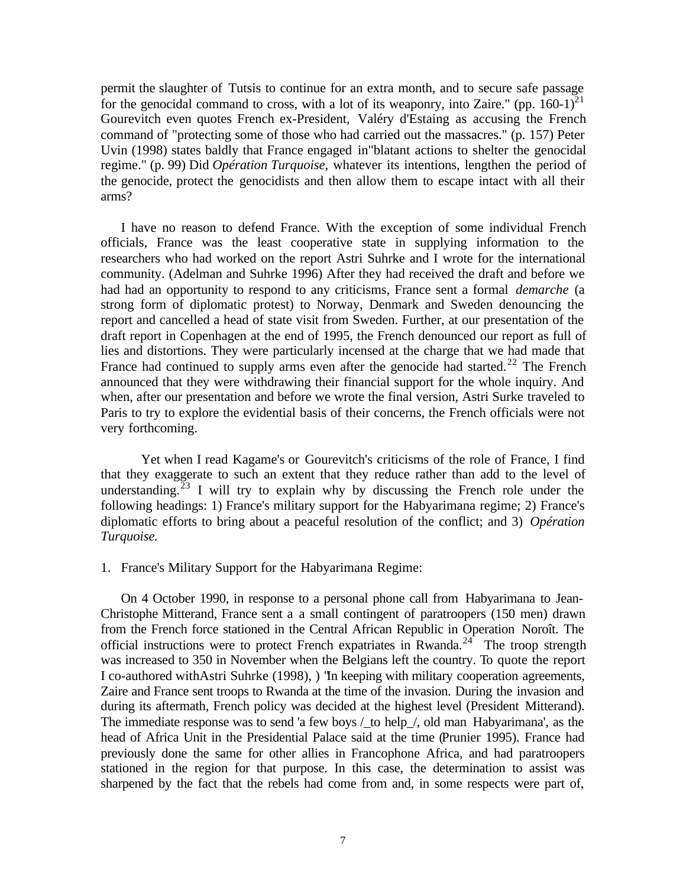permit the slaughter of Tutsis to continue for an extra month, and to secure safe passage for the genocidal command to cross, with a lot of its weaponry, into Zaire." (pp. 160-1)<sup>21</sup> Gourevitch even quotes French ex-President, Valéry d'Estaing as accusing the French command of "protecting some of those who had carried out the massacres." (p. 157) Peter Uvin (1998) states baldly that France engaged in"blatant actions to shelter the genocidal regime." (p. 99) Did *Opération Turquoise*, whatever its intentions, lengthen the period of the genocide, protect the genocidists and then allow them to escape intact with all their arms?

I have no reason to defend France. With the exception of some individual French officials, France was the least cooperative state in supplying information to the researchers who had worked on the report Astri Suhrke and I wrote for the international community. (Adelman and Suhrke 1996) After they had received the draft and before we had had an opportunity to respond to any criticisms, France sent a formal *demarche* (a strong form of diplomatic protest) to Norway, Denmark and Sweden denouncing the report and cancelled a head of state visit from Sweden. Further, at our presentation of the draft report in Copenhagen at the end of 1995, the French denounced our report as full of lies and distortions. They were particularly incensed at the charge that we had made that France had continued to supply arms even after the genocide had started.<sup>22</sup> The French announced that they were withdrawing their financial support for the whole inquiry. And when, after our presentation and before we wrote the final version, Astri Surke traveled to Paris to try to explore the evidential basis of their concerns, the French officials were not very forthcoming.

Yet when I read Kagame's or Gourevitch's criticisms of the role of France, I find that they exaggerate to such an extent that they reduce rather than add to the level of understanding.<sup>23</sup> I will try to explain why by discussing the French role under the following headings: 1) France's military support for the Habyarimana regime; 2) France's diplomatic efforts to bring about a peaceful resolution of the conflict; and 3) *Opération Turquoise.*

1. France's Military Support for the Habyarimana Regime:

On 4 October 1990, in response to a personal phone call from Habyarimana to Jean-Christophe Mitterand, France sent a a small contingent of paratroopers (150 men) drawn from the French force stationed in the Central African Republic in Operation Noroît. The official instructions were to protect French expatriates in Rwanda.<sup>24</sup> The troop strength was increased to 350 in November when the Belgians left the country. To quote the report I co-authored withAstri Suhrke (1998), ) "In keeping with military cooperation agreements, Zaire and France sent troops to Rwanda at the time of the invasion. During the invasion and during its aftermath, French policy was decided at the highest level (President Mitterand). The immediate response was to send 'a few boys / to help /, old man Habyarimana', as the head of Africa Unit in the Presidential Palace said at the time (Prunier 1995). France had previously done the same for other allies in Francophone Africa, and had paratroopers stationed in the region for that purpose. In this case, the determination to assist was sharpened by the fact that the rebels had come from and, in some respects were part of,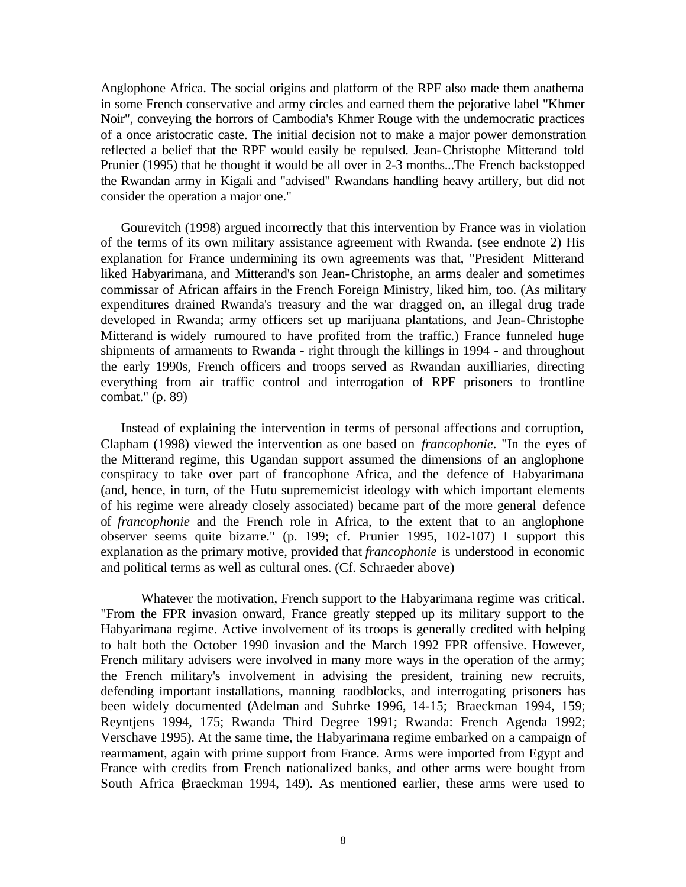Anglophone Africa. The social origins and platform of the RPF also made them anathema in some French conservative and army circles and earned them the pejorative label "Khmer Noir", conveying the horrors of Cambodia's Khmer Rouge with the undemocratic practices of a once aristocratic caste. The initial decision not to make a major power demonstration reflected a belief that the RPF would easily be repulsed. Jean-Christophe Mitterand told Prunier (1995) that he thought it would be all over in 2-3 months...The French backstopped the Rwandan army in Kigali and "advised" Rwandans handling heavy artillery, but did not consider the operation a major one."

Gourevitch (1998) argued incorrectly that this intervention by France was in violation of the terms of its own military assistance agreement with Rwanda. (see endnote 2) His explanation for France undermining its own agreements was that, "President Mitterand liked Habyarimana, and Mitterand's son Jean-Christophe, an arms dealer and sometimes commissar of African affairs in the French Foreign Ministry, liked him, too. (As military expenditures drained Rwanda's treasury and the war dragged on, an illegal drug trade developed in Rwanda; army officers set up marijuana plantations, and Jean-Christophe Mitterand is widely rumoured to have profited from the traffic.) France funneled huge shipments of armaments to Rwanda - right through the killings in 1994 - and throughout the early 1990s, French officers and troops served as Rwandan auxilliaries, directing everything from air traffic control and interrogation of RPF prisoners to frontline combat." (p. 89)

Instead of explaining the intervention in terms of personal affections and corruption, Clapham (1998) viewed the intervention as one based on *francophonie*. "In the eyes of the Mitterand regime, this Ugandan support assumed the dimensions of an anglophone conspiracy to take over part of francophone Africa, and the defence of Habyarimana (and, hence, in turn, of the Hutu suprememicist ideology with which important elements of his regime were already closely associated) became part of the more general defence of *francophonie* and the French role in Africa, to the extent that to an anglophone observer seems quite bizarre." (p. 199; cf. Prunier 1995, 102-107) I support this explanation as the primary motive, provided that *francophonie* is understood in economic and political terms as well as cultural ones. (Cf. Schraeder above)

Whatever the motivation, French support to the Habyarimana regime was critical. "From the FPR invasion onward, France greatly stepped up its military support to the Habyarimana regime. Active involvement of its troops is generally credited with helping to halt both the October 1990 invasion and the March 1992 FPR offensive. However, French military advisers were involved in many more ways in the operation of the army; the French military's involvement in advising the president, training new recruits, defending important installations, manning raodblocks, and interrogating prisoners has been widely documented (Adelman and Suhrke 1996, 14-15; Braeckman 1994, 159; Reyntjens 1994, 175; Rwanda Third Degree 1991; Rwanda: French Agenda 1992; Verschave 1995). At the same time, the Habyarimana regime embarked on a campaign of rearmament, again with prime support from France. Arms were imported from Egypt and France with credits from French nationalized banks, and other arms were bought from South Africa (Braeckman 1994, 149). As mentioned earlier, these arms were used to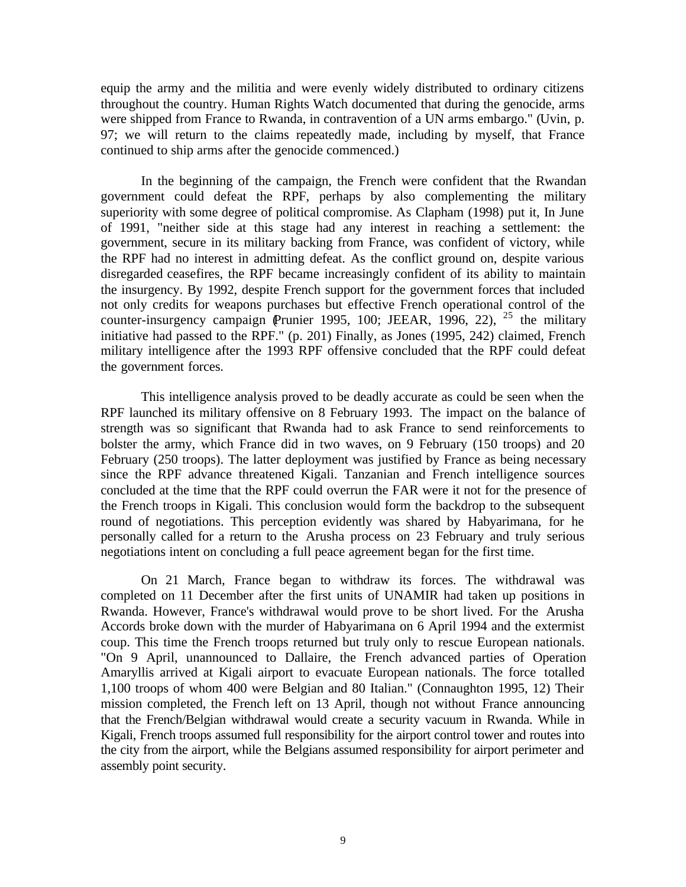equip the army and the militia and were evenly widely distributed to ordinary citizens throughout the country. Human Rights Watch documented that during the genocide, arms were shipped from France to Rwanda, in contravention of a UN arms embargo." (Uvin, p. 97; we will return to the claims repeatedly made, including by myself, that France continued to ship arms after the genocide commenced.)

In the beginning of the campaign, the French were confident that the Rwandan government could defeat the RPF, perhaps by also complementing the military superiority with some degree of political compromise. As Clapham (1998) put it, In June of 1991, "neither side at this stage had any interest in reaching a settlement: the government, secure in its military backing from France, was confident of victory, while the RPF had no interest in admitting defeat. As the conflict ground on, despite various disregarded ceasefires, the RPF became increasingly confident of its ability to maintain the insurgency. By 1992, despite French support for the government forces that included not only credits for weapons purchases but effective French operational control of the counter-insurgency campaign Prunier 1995, 100; JEEAR, 1996, 22),  $25$  the military initiative had passed to the RPF." (p. 201) Finally, as Jones (1995, 242) claimed, French military intelligence after the 1993 RPF offensive concluded that the RPF could defeat the government forces.

This intelligence analysis proved to be deadly accurate as could be seen when the RPF launched its military offensive on 8 February 1993. The impact on the balance of strength was so significant that Rwanda had to ask France to send reinforcements to bolster the army, which France did in two waves, on 9 February (150 troops) and 20 February (250 troops). The latter deployment was justified by France as being necessary since the RPF advance threatened Kigali. Tanzanian and French intelligence sources concluded at the time that the RPF could overrun the FAR were it not for the presence of the French troops in Kigali. This conclusion would form the backdrop to the subsequent round of negotiations. This perception evidently was shared by Habyarimana, for he personally called for a return to the Arusha process on 23 February and truly serious negotiations intent on concluding a full peace agreement began for the first time.

On 21 March, France began to withdraw its forces. The withdrawal was completed on 11 December after the first units of UNAMIR had taken up positions in Rwanda. However, France's withdrawal would prove to be short lived. For the Arusha Accords broke down with the murder of Habyarimana on 6 April 1994 and the extermist coup. This time the French troops returned but truly only to rescue European nationals. "On 9 April, unannounced to Dallaire, the French advanced parties of Operation Amaryllis arrived at Kigali airport to evacuate European nationals. The force totalled 1,100 troops of whom 400 were Belgian and 80 Italian." (Connaughton 1995, 12) Their mission completed, the French left on 13 April, though not without France announcing that the French/Belgian withdrawal would create a security vacuum in Rwanda. While in Kigali, French troops assumed full responsibility for the airport control tower and routes into the city from the airport, while the Belgians assumed responsibility for airport perimeter and assembly point security.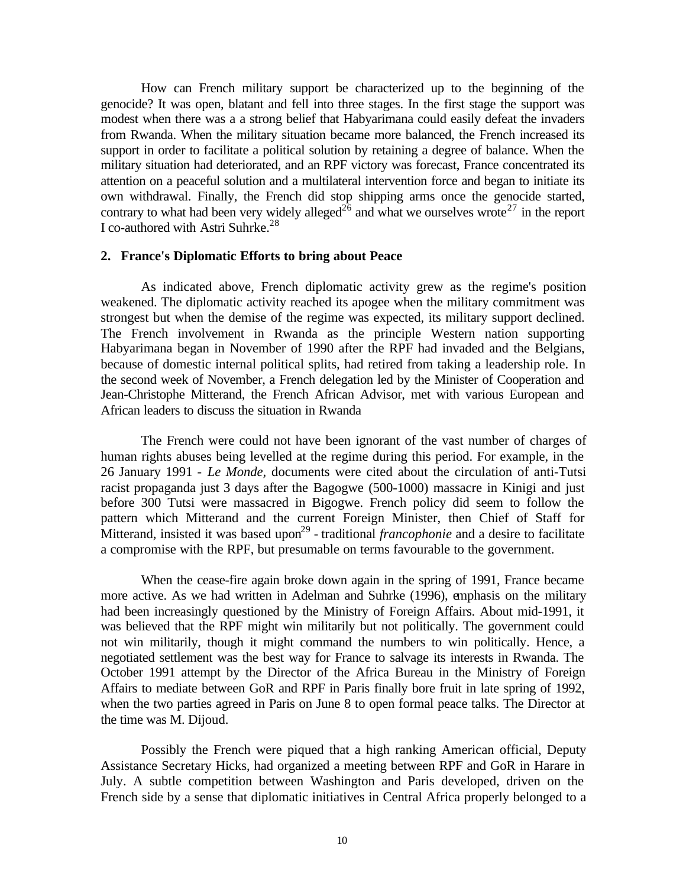How can French military support be characterized up to the beginning of the genocide? It was open, blatant and fell into three stages. In the first stage the support was modest when there was a a strong belief that Habyarimana could easily defeat the invaders from Rwanda. When the military situation became more balanced, the French increased its support in order to facilitate a political solution by retaining a degree of balance. When the military situation had deteriorated, and an RPF victory was forecast, France concentrated its attention on a peaceful solution and a multilateral intervention force and began to initiate its own withdrawal. Finally, the French did stop shipping arms once the genocide started, contrary to what had been very widely alleged<sup>26</sup> and what we ourselves wrote<sup>27</sup> in the report I co-authored with Astri Suhrke.<sup>28</sup>

### **2. France's Diplomatic Efforts to bring about Peace**

As indicated above, French diplomatic activity grew as the regime's position weakened. The diplomatic activity reached its apogee when the military commitment was strongest but when the demise of the regime was expected, its military support declined. The French involvement in Rwanda as the principle Western nation supporting Habyarimana began in November of 1990 after the RPF had invaded and the Belgians, because of domestic internal political splits, had retired from taking a leadership role. In the second week of November, a French delegation led by the Minister of Cooperation and Jean-Christophe Mitterand, the French African Advisor, met with various European and African leaders to discuss the situation in Rwanda

The French were could not have been ignorant of the vast number of charges of human rights abuses being levelled at the regime during this period. For example, in the 26 January 1991 - *Le Monde,* documents were cited about the circulation of anti-Tutsi racist propaganda just 3 days after the Bagogwe (500-1000) massacre in Kinigi and just before 300 Tutsi were massacred in Bigogwe. French policy did seem to follow the pattern which Mitterand and the current Foreign Minister, then Chief of Staff for Mitterand, insisted it was based upon<sup>29</sup> - traditional *francophonie* and a desire to facilitate a compromise with the RPF, but presumable on terms favourable to the government.

When the cease-fire again broke down again in the spring of 1991, France became more active. As we had written in Adelman and Suhrke (1996), emphasis on the military had been increasingly questioned by the Ministry of Foreign Affairs. About mid-1991, it was believed that the RPF might win militarily but not politically. The government could not win militarily, though it might command the numbers to win politically. Hence, a negotiated settlement was the best way for France to salvage its interests in Rwanda. The October 1991 attempt by the Director of the Africa Bureau in the Ministry of Foreign Affairs to mediate between GoR and RPF in Paris finally bore fruit in late spring of 1992, when the two parties agreed in Paris on June 8 to open formal peace talks. The Director at the time was M. Dijoud.

Possibly the French were piqued that a high ranking American official, Deputy Assistance Secretary Hicks, had organized a meeting between RPF and GoR in Harare in July. A subtle competition between Washington and Paris developed, driven on the French side by a sense that diplomatic initiatives in Central Africa properly belonged to a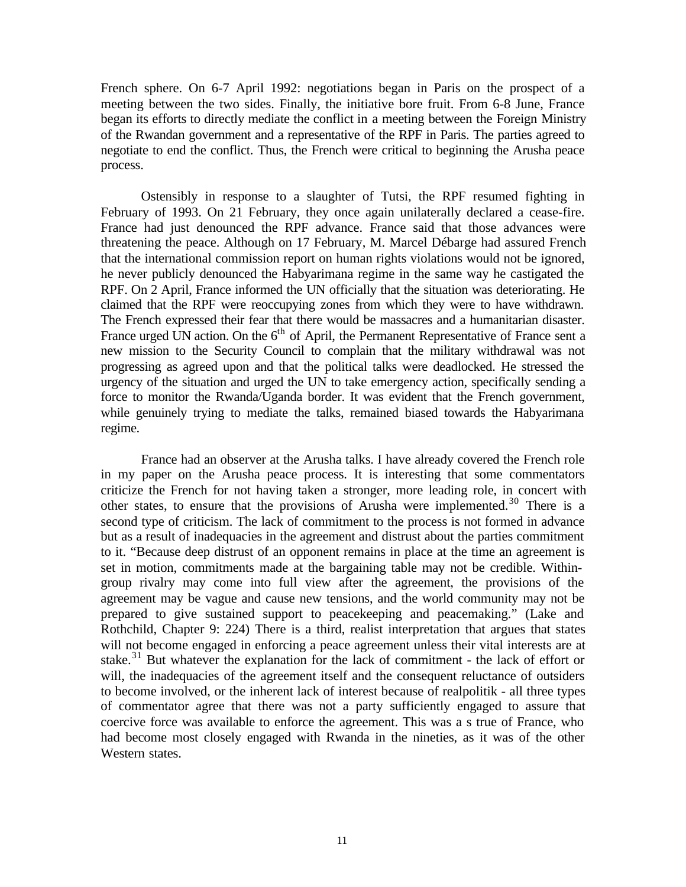French sphere. On 6-7 April 1992: negotiations began in Paris on the prospect of a meeting between the two sides. Finally, the initiative bore fruit. From 6-8 June, France began its efforts to directly mediate the conflict in a meeting between the Foreign Ministry of the Rwandan government and a representative of the RPF in Paris. The parties agreed to negotiate to end the conflict. Thus, the French were critical to beginning the Arusha peace process.

Ostensibly in response to a slaughter of Tutsi, the RPF resumed fighting in February of 1993. On 21 February, they once again unilaterally declared a cease-fire. France had just denounced the RPF advance. France said that those advances were threatening the peace. Although on 17 February, M. Marcel Débarge had assured French that the international commission report on human rights violations would not be ignored, he never publicly denounced the Habyarimana regime in the same way he castigated the RPF. On 2 April, France informed the UN officially that the situation was deteriorating. He claimed that the RPF were reoccupying zones from which they were to have withdrawn. The French expressed their fear that there would be massacres and a humanitarian disaster. France urged UN action. On the  $6<sup>th</sup>$  of April, the Permanent Representative of France sent a new mission to the Security Council to complain that the military withdrawal was not progressing as agreed upon and that the political talks were deadlocked. He stressed the urgency of the situation and urged the UN to take emergency action, specifically sending a force to monitor the Rwanda/Uganda border. It was evident that the French government, while genuinely trying to mediate the talks, remained biased towards the Habyarimana regime.

France had an observer at the Arusha talks. I have already covered the French role in my paper on the Arusha peace process. It is interesting that some commentators criticize the French for not having taken a stronger, more leading role, in concert with other states, to ensure that the provisions of Arusha were implemented.<sup>30</sup> There is a second type of criticism. The lack of commitment to the process is not formed in advance but as a result of inadequacies in the agreement and distrust about the parties commitment to it. "Because deep distrust of an opponent remains in place at the time an agreement is set in motion, commitments made at the bargaining table may not be credible. Withingroup rivalry may come into full view after the agreement, the provisions of the agreement may be vague and cause new tensions, and the world community may not be prepared to give sustained support to peacekeeping and peacemaking." (Lake and Rothchild, Chapter 9: 224) There is a third, realist interpretation that argues that states will not become engaged in enforcing a peace agreement unless their vital interests are at stake.<sup>31</sup> But whatever the explanation for the lack of commitment - the lack of effort or will, the inadequacies of the agreement itself and the consequent reluctance of outsiders to become involved, or the inherent lack of interest because of realpolitik - all three types of commentator agree that there was not a party sufficiently engaged to assure that coercive force was available to enforce the agreement. This was a s true of France, who had become most closely engaged with Rwanda in the nineties, as it was of the other Western states.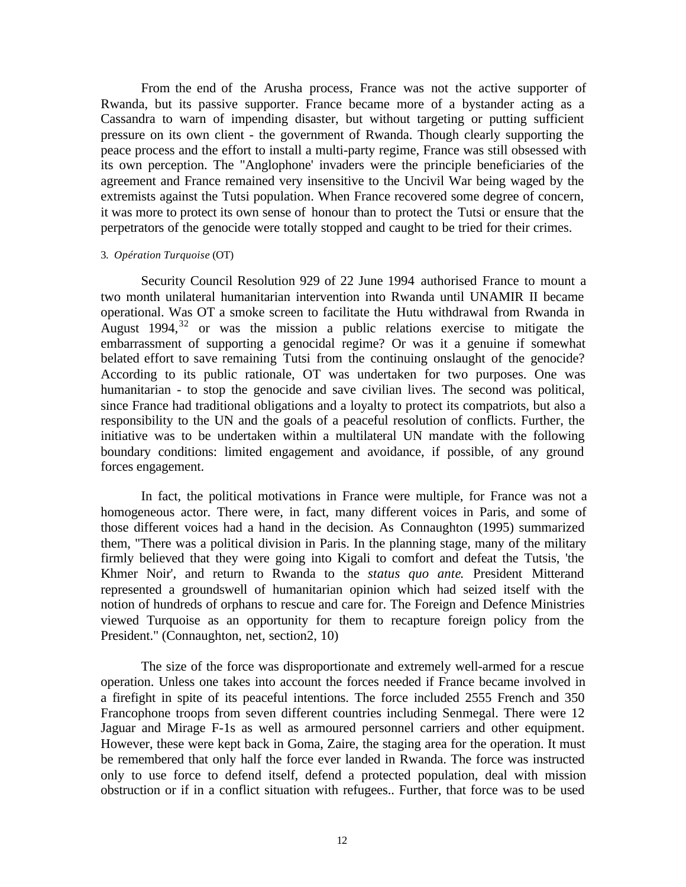From the end of the Arusha process, France was not the active supporter of Rwanda, but its passive supporter. France became more of a bystander acting as a Cassandra to warn of impending disaster, but without targeting or putting sufficient pressure on its own client - the government of Rwanda. Though clearly supporting the peace process and the effort to install a multi-party regime, France was still obsessed with its own perception. The "Anglophone' invaders were the principle beneficiaries of the agreement and France remained very insensitive to the Uncivil War being waged by the extremists against the Tutsi population. When France recovered some degree of concern, it was more to protect its own sense of honour than to protect the Tutsi or ensure that the perpetrators of the genocide were totally stopped and caught to be tried for their crimes.

#### 3. *Opération Turquoise* (OT)

Security Council Resolution 929 of 22 June 1994 authorised France to mount a two month unilateral humanitarian intervention into Rwanda until UNAMIR II became operational. Was OT a smoke screen to facilitate the Hutu withdrawal from Rwanda in August  $1994$ ,<sup>32</sup> or was the mission a public relations exercise to mitigate the embarrassment of supporting a genocidal regime? Or was it a genuine if somewhat belated effort to save remaining Tutsi from the continuing onslaught of the genocide? According to its public rationale, OT was undertaken for two purposes. One was humanitarian - to stop the genocide and save civilian lives. The second was political, since France had traditional obligations and a loyalty to protect its compatriots, but also a responsibility to the UN and the goals of a peaceful resolution of conflicts. Further, the initiative was to be undertaken within a multilateral UN mandate with the following boundary conditions: limited engagement and avoidance, if possible, of any ground forces engagement.

In fact, the political motivations in France were multiple, for France was not a homogeneous actor. There were, in fact, many different voices in Paris, and some of those different voices had a hand in the decision. As Connaughton (1995) summarized them, "There was a political division in Paris. In the planning stage, many of the military firmly believed that they were going into Kigali to comfort and defeat the Tutsis, 'the Khmer Noir', and return to Rwanda to the *status quo ante*. President Mitterand represented a groundswell of humanitarian opinion which had seized itself with the notion of hundreds of orphans to rescue and care for. The Foreign and Defence Ministries viewed Turquoise as an opportunity for them to recapture foreign policy from the President." (Connaughton, net, section2, 10)

The size of the force was disproportionate and extremely well-armed for a rescue operation. Unless one takes into account the forces needed if France became involved in a firefight in spite of its peaceful intentions. The force included 2555 French and 350 Francophone troops from seven different countries including Senmegal. There were 12 Jaguar and Mirage F-1s as well as armoured personnel carriers and other equipment. However, these were kept back in Goma, Zaire, the staging area for the operation. It must be remembered that only half the force ever landed in Rwanda. The force was instructed only to use force to defend itself, defend a protected population, deal with mission obstruction or if in a conflict situation with refugees.. Further, that force was to be used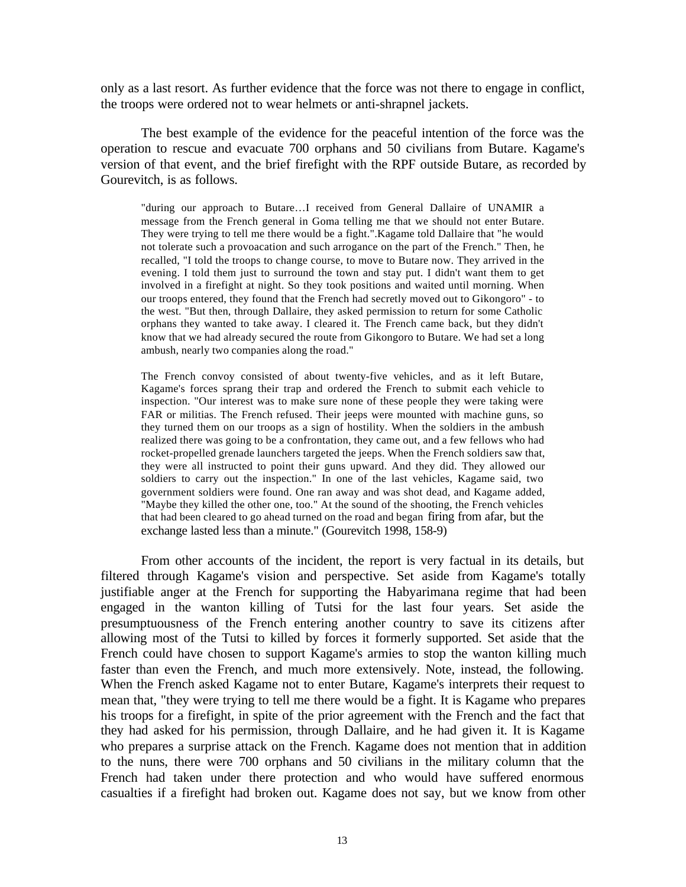only as a last resort. As further evidence that the force was not there to engage in conflict, the troops were ordered not to wear helmets or anti-shrapnel jackets.

The best example of the evidence for the peaceful intention of the force was the operation to rescue and evacuate 700 orphans and 50 civilians from Butare. Kagame's version of that event, and the brief firefight with the RPF outside Butare, as recorded by Gourevitch, is as follows.

"during our approach to Butare…I received from General Dallaire of UNAMIR a message from the French general in Goma telling me that we should not enter Butare. They were trying to tell me there would be a fight.".Kagame told Dallaire that "he would not tolerate such a provoacation and such arrogance on the part of the French." Then, he recalled, "I told the troops to change course, to move to Butare now. They arrived in the evening. I told them just to surround the town and stay put. I didn't want them to get involved in a firefight at night. So they took positions and waited until morning. When our troops entered, they found that the French had secretly moved out to Gikongoro" - to the west. "But then, through Dallaire, they asked permission to return for some Catholic orphans they wanted to take away. I cleared it. The French came back, but they didn't know that we had already secured the route from Gikongoro to Butare. We had set a long ambush, nearly two companies along the road."

The French convoy consisted of about twenty-five vehicles, and as it left Butare, Kagame's forces sprang their trap and ordered the French to submit each vehicle to inspection. "Our interest was to make sure none of these people they were taking were FAR or militias. The French refused. Their jeeps were mounted with machine guns, so they turned them on our troops as a sign of hostility. When the soldiers in the ambush realized there was going to be a confrontation, they came out, and a few fellows who had rocket-propelled grenade launchers targeted the jeeps. When the French soldiers saw that, they were all instructed to point their guns upward. And they did. They allowed our soldiers to carry out the inspection." In one of the last vehicles, Kagame said, two government soldiers were found. One ran away and was shot dead, and Kagame added, "Maybe they killed the other one, too." At the sound of the shooting, the French vehicles that had been cleared to go ahead turned on the road and began firing from afar, but the exchange lasted less than a minute." (Gourevitch 1998, 158-9)

From other accounts of the incident, the report is very factual in its details, but filtered through Kagame's vision and perspective. Set aside from Kagame's totally justifiable anger at the French for supporting the Habyarimana regime that had been engaged in the wanton killing of Tutsi for the last four years. Set aside the presumptuousness of the French entering another country to save its citizens after allowing most of the Tutsi to killed by forces it formerly supported. Set aside that the French could have chosen to support Kagame's armies to stop the wanton killing much faster than even the French, and much more extensively. Note, instead, the following. When the French asked Kagame not to enter Butare, Kagame's interprets their request to mean that, "they were trying to tell me there would be a fight. It is Kagame who prepares his troops for a firefight, in spite of the prior agreement with the French and the fact that they had asked for his permission, through Dallaire, and he had given it. It is Kagame who prepares a surprise attack on the French. Kagame does not mention that in addition to the nuns, there were 700 orphans and 50 civilians in the military column that the French had taken under there protection and who would have suffered enormous casualties if a firefight had broken out. Kagame does not say, but we know from other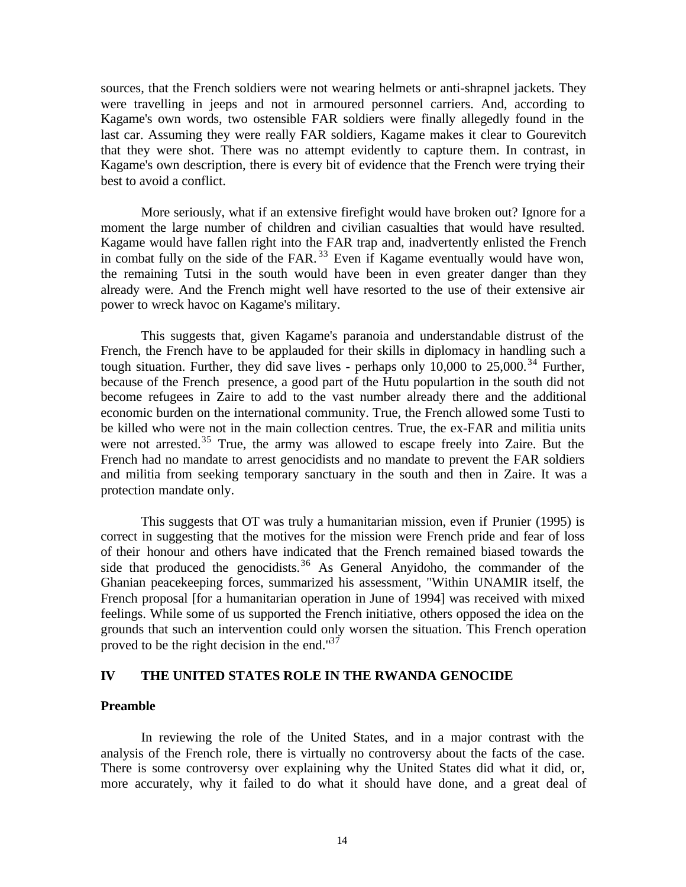sources, that the French soldiers were not wearing helmets or anti-shrapnel jackets. They were travelling in jeeps and not in armoured personnel carriers. And, according to Kagame's own words, two ostensible FAR soldiers were finally allegedly found in the last car. Assuming they were really FAR soldiers, Kagame makes it clear to Gourevitch that they were shot. There was no attempt evidently to capture them. In contrast, in Kagame's own description, there is every bit of evidence that the French were trying their best to avoid a conflict.

More seriously, what if an extensive firefight would have broken out? Ignore for a moment the large number of children and civilian casualties that would have resulted. Kagame would have fallen right into the FAR trap and, inadvertently enlisted the French in combat fully on the side of the FAR.<sup>33</sup> Even if Kagame eventually would have won, the remaining Tutsi in the south would have been in even greater danger than they already were. And the French might well have resorted to the use of their extensive air power to wreck havoc on Kagame's military.

This suggests that, given Kagame's paranoia and understandable distrust of the French, the French have to be applauded for their skills in diplomacy in handling such a tough situation. Further, they did save lives - perhaps only  $10,000$  to  $25,000$ .<sup>34</sup> Further, because of the French presence, a good part of the Hutu populartion in the south did not become refugees in Zaire to add to the vast number already there and the additional economic burden on the international community. True, the French allowed some Tusti to be killed who were not in the main collection centres. True, the ex-FAR and militia units were not arrested.<sup>35</sup> True, the army was allowed to escape freely into Zaire. But the French had no mandate to arrest genocidists and no mandate to prevent the FAR soldiers and militia from seeking temporary sanctuary in the south and then in Zaire. It was a protection mandate only.

This suggests that OT was truly a humanitarian mission, even if Prunier (1995) is correct in suggesting that the motives for the mission were French pride and fear of loss of their honour and others have indicated that the French remained biased towards the side that produced the genocidists.<sup>36</sup> As General Anyidoho, the commander of the Ghanian peacekeeping forces, summarized his assessment, "Within UNAMIR itself, the French proposal [for a humanitarian operation in June of 1994] was received with mixed feelings. While some of us supported the French initiative, others opposed the idea on the grounds that such an intervention could only worsen the situation. This French operation proved to be the right decision in the end."<sup>37</sup>

### **IV THE UNITED STATES ROLE IN THE RWANDA GENOCIDE**

### **Preamble**

In reviewing the role of the United States, and in a major contrast with the analysis of the French role, there is virtually no controversy about the facts of the case. There is some controversy over explaining why the United States did what it did, or, more accurately, why it failed to do what it should have done, and a great deal of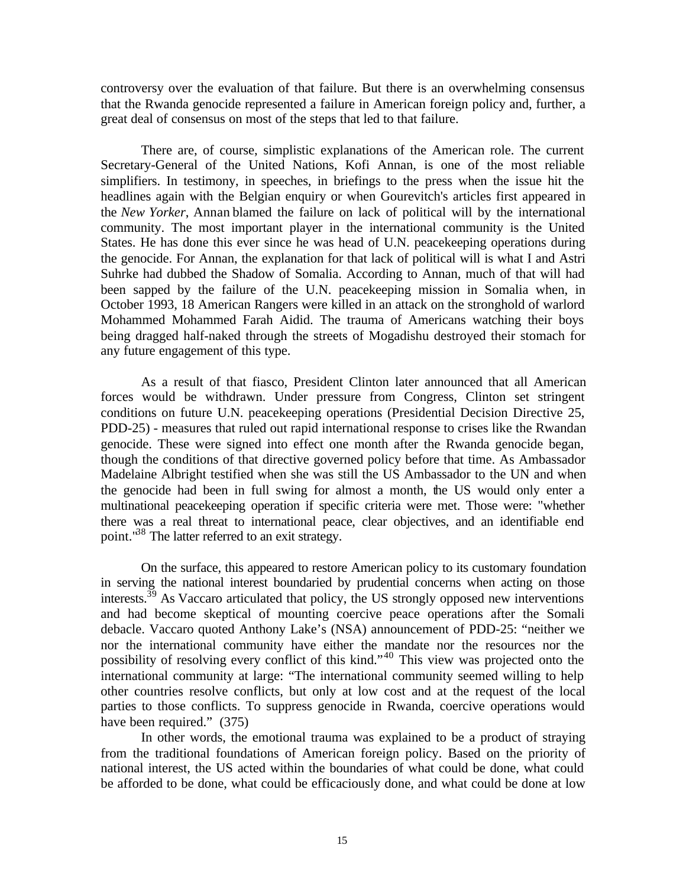controversy over the evaluation of that failure. But there is an overwhelming consensus that the Rwanda genocide represented a failure in American foreign policy and, further, a great deal of consensus on most of the steps that led to that failure.

There are, of course, simplistic explanations of the American role. The current Secretary-General of the United Nations, Kofi Annan, is one of the most reliable simplifiers. In testimony, in speeches, in briefings to the press when the issue hit the headlines again with the Belgian enquiry or when Gourevitch's articles first appeared in the *New Yorker*, Annan blamed the failure on lack of political will by the international community. The most important player in the international community is the United States. He has done this ever since he was head of U.N. peacekeeping operations during the genocide. For Annan, the explanation for that lack of political will is what I and Astri Suhrke had dubbed the Shadow of Somalia. According to Annan, much of that will had been sapped by the failure of the U.N. peacekeeping mission in Somalia when, in October 1993, 18 American Rangers were killed in an attack on the stronghold of warlord Mohammed Mohammed Farah Aidid. The trauma of Americans watching their boys being dragged half-naked through the streets of Mogadishu destroyed their stomach for any future engagement of this type.

As a result of that fiasco, President Clinton later announced that all American forces would be withdrawn. Under pressure from Congress, Clinton set stringent conditions on future U.N. peacekeeping operations (Presidential Decision Directive 25, PDD-25) - measures that ruled out rapid international response to crises like the Rwandan genocide. These were signed into effect one month after the Rwanda genocide began, though the conditions of that directive governed policy before that time. As Ambassador Madelaine Albright testified when she was still the US Ambassador to the UN and when the genocide had been in full swing for almost a month, the US would only enter a multinational peacekeeping operation if specific criteria were met. Those were: "whether there was a real threat to international peace, clear objectives, and an identifiable end point.<sup>138</sup> The latter referred to an exit strategy.

On the surface, this appeared to restore American policy to its customary foundation in serving the national interest boundaried by prudential concerns when acting on those interests. $39$  As Vaccaro articulated that policy, the US strongly opposed new interventions and had become skeptical of mounting coercive peace operations after the Somali debacle. Vaccaro quoted Anthony Lake's (NSA) announcement of PDD-25: "neither we nor the international community have either the mandate nor the resources nor the possibility of resolving every conflict of this kind."<sup>40</sup> This view was projected onto the international community at large: "The international community seemed willing to help other countries resolve conflicts, but only at low cost and at the request of the local parties to those conflicts. To suppress genocide in Rwanda, coercive operations would have been required." (375)

In other words, the emotional trauma was explained to be a product of straying from the traditional foundations of American foreign policy. Based on the priority of national interest, the US acted within the boundaries of what could be done, what could be afforded to be done, what could be efficaciously done, and what could be done at low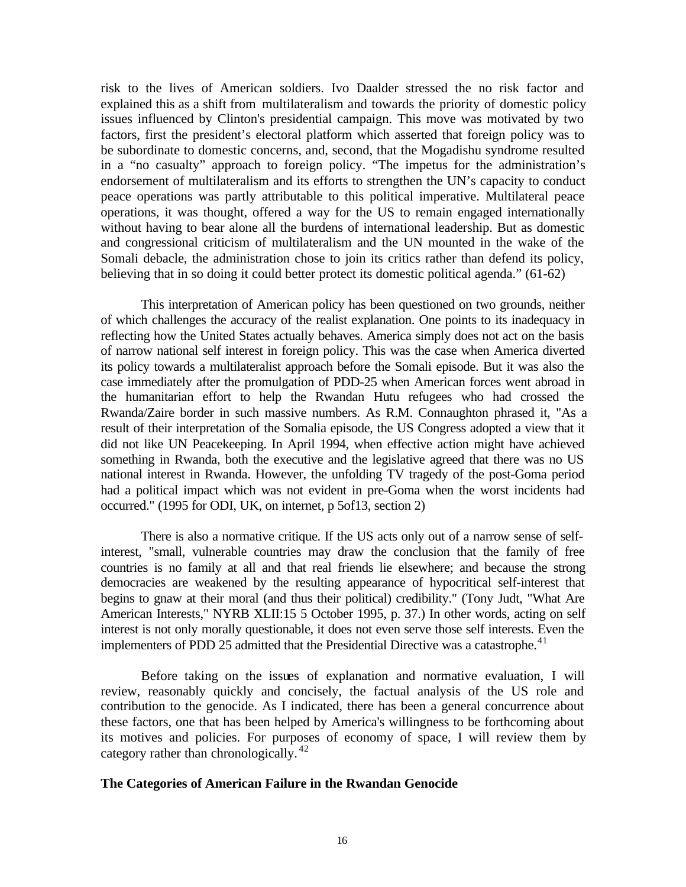risk to the lives of American soldiers. Ivo Daalder stressed the no risk factor and explained this as a shift from multilateralism and towards the priority of domestic policy issues influenced by Clinton's presidential campaign. This move was motivated by two factors, first the president's electoral platform which asserted that foreign policy was to be subordinate to domestic concerns, and, second, that the Mogadishu syndrome resulted in a "no casualty" approach to foreign policy. "The impetus for the administration's endorsement of multilateralism and its efforts to strengthen the UN's capacity to conduct peace operations was partly attributable to this political imperative. Multilateral peace operations, it was thought, offered a way for the US to remain engaged internationally without having to bear alone all the burdens of international leadership. But as domestic and congressional criticism of multilateralism and the UN mounted in the wake of the Somali debacle, the administration chose to join its critics rather than defend its policy, believing that in so doing it could better protect its domestic political agenda." (61-62)

This interpretation of American policy has been questioned on two grounds, neither of which challenges the accuracy of the realist explanation. One points to its inadequacy in reflecting how the United States actually behaves. America simply does not act on the basis of narrow national self interest in foreign policy. This was the case when America diverted its policy towards a multilateralist approach before the Somali episode. But it was also the case immediately after the promulgation of PDD-25 when American forces went abroad in the humanitarian effort to help the Rwandan Hutu refugees who had crossed the Rwanda/Zaire border in such massive numbers. As R.M. Connaughton phrased it, "As a result of their interpretation of the Somalia episode, the US Congress adopted a view that it did not like UN Peacekeeping. In April 1994, when effective action might have achieved something in Rwanda, both the executive and the legislative agreed that there was no US national interest in Rwanda. However, the unfolding TV tragedy of the post-Goma period had a political impact which was not evident in pre-Goma when the worst incidents had occurred." (1995 for ODI, UK, on internet, p 5of13, section 2)

There is also a normative critique. If the US acts only out of a narrow sense of selfinterest, "small, vulnerable countries may draw the conclusion that the family of free countries is no family at all and that real friends lie elsewhere; and because the strong democracies are weakened by the resulting appearance of hypocritical self-interest that begins to gnaw at their moral (and thus their political) credibility." (Tony Judt, "What Are American Interests," NYRB XLII:15 5 October 1995, p. 37.) In other words, acting on self interest is not only morally questionable, it does not even serve those self interests. Even the implementers of PDD 25 admitted that the Presidential Directive was a catastrophe.<sup>41</sup>

Before taking on the issues of explanation and normative evaluation, I will review, reasonably quickly and concisely, the factual analysis of the US role and contribution to the genocide. As I indicated, there has been a general concurrence about these factors, one that has been helped by America's willingness to be forthcoming about its motives and policies. For purposes of economy of space, I will review them by category rather than chronologically. <sup>42</sup>

### **The Categories of American Failure in the Rwandan Genocide**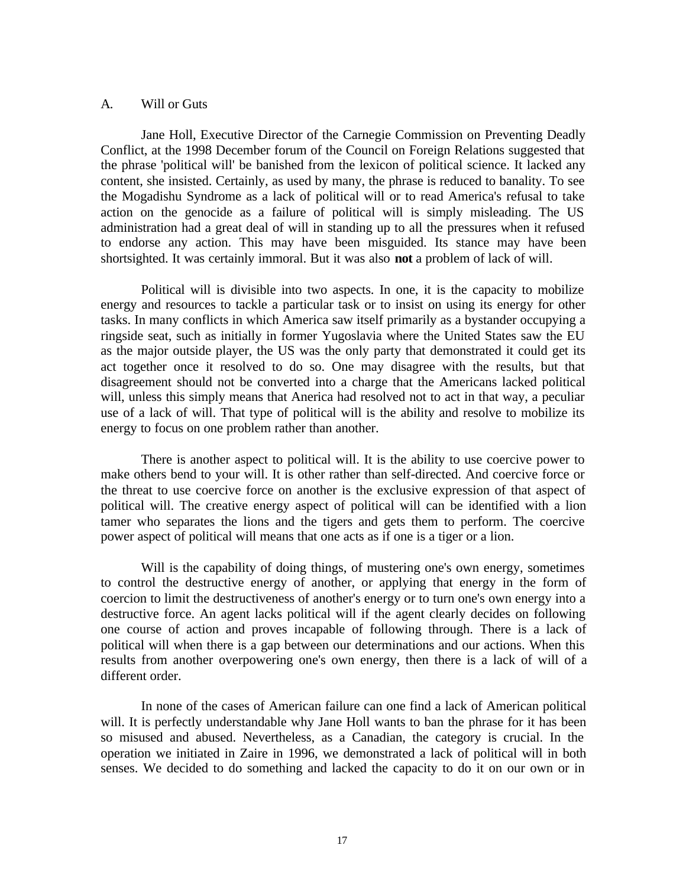### A. Will or Guts

Jane Holl, Executive Director of the Carnegie Commission on Preventing Deadly Conflict, at the 1998 December forum of the Council on Foreign Relations suggested that the phrase 'political will' be banished from the lexicon of political science. It lacked any content, she insisted. Certainly, as used by many, the phrase is reduced to banality. To see the Mogadishu Syndrome as a lack of political will or to read America's refusal to take action on the genocide as a failure of political will is simply misleading. The US administration had a great deal of will in standing up to all the pressures when it refused to endorse any action. This may have been misguided. Its stance may have been shortsighted. It was certainly immoral. But it was also **not** a problem of lack of will.

Political will is divisible into two aspects. In one, it is the capacity to mobilize energy and resources to tackle a particular task or to insist on using its energy for other tasks. In many conflicts in which America saw itself primarily as a bystander occupying a ringside seat, such as initially in former Yugoslavia where the United States saw the EU as the major outside player, the US was the only party that demonstrated it could get its act together once it resolved to do so. One may disagree with the results, but that disagreement should not be converted into a charge that the Americans lacked political will, unless this simply means that Anerica had resolved not to act in that way, a peculiar use of a lack of will. That type of political will is the ability and resolve to mobilize its energy to focus on one problem rather than another.

There is another aspect to political will. It is the ability to use coercive power to make others bend to your will. It is other rather than self-directed. And coercive force or the threat to use coercive force on another is the exclusive expression of that aspect of political will. The creative energy aspect of political will can be identified with a lion tamer who separates the lions and the tigers and gets them to perform. The coercive power aspect of political will means that one acts as if one is a tiger or a lion.

Will is the capability of doing things, of mustering one's own energy, sometimes to control the destructive energy of another, or applying that energy in the form of coercion to limit the destructiveness of another's energy or to turn one's own energy into a destructive force. An agent lacks political will if the agent clearly decides on following one course of action and proves incapable of following through. There is a lack of political will when there is a gap between our determinations and our actions. When this results from another overpowering one's own energy, then there is a lack of will of a different order.

In none of the cases of American failure can one find a lack of American political will. It is perfectly understandable why Jane Holl wants to ban the phrase for it has been so misused and abused. Nevertheless, as a Canadian, the category is crucial. In the operation we initiated in Zaire in 1996, we demonstrated a lack of political will in both senses. We decided to do something and lacked the capacity to do it on our own or in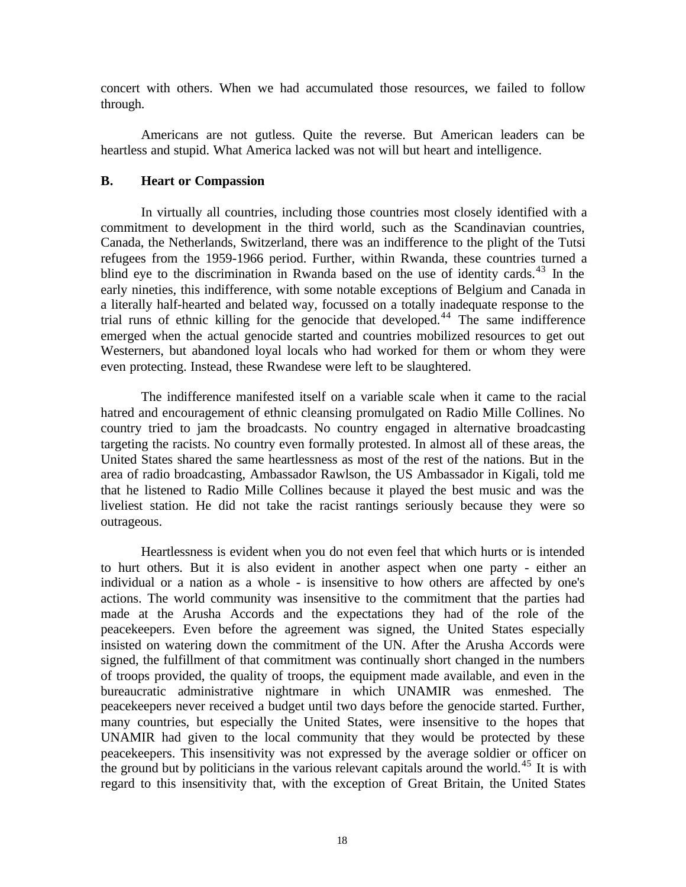concert with others. When we had accumulated those resources, we failed to follow through.

Americans are not gutless. Quite the reverse. But American leaders can be heartless and stupid. What America lacked was not will but heart and intelligence.

# **B. Heart or Compassion**

In virtually all countries, including those countries most closely identified with a commitment to development in the third world, such as the Scandinavian countries, Canada, the Netherlands, Switzerland, there was an indifference to the plight of the Tutsi refugees from the 1959-1966 period. Further, within Rwanda, these countries turned a blind eye to the discrimination in Rwanda based on the use of identity cards. $43$  In the early nineties, this indifference, with some notable exceptions of Belgium and Canada in a literally half-hearted and belated way, focussed on a totally inadequate response to the trial runs of ethnic killing for the genocide that developed.<sup>44</sup> The same indifference emerged when the actual genocide started and countries mobilized resources to get out Westerners, but abandoned loyal locals who had worked for them or whom they were even protecting. Instead, these Rwandese were left to be slaughtered.

The indifference manifested itself on a variable scale when it came to the racial hatred and encouragement of ethnic cleansing promulgated on Radio Mille Collines. No country tried to jam the broadcasts. No country engaged in alternative broadcasting targeting the racists. No country even formally protested. In almost all of these areas, the United States shared the same heartlessness as most of the rest of the nations. But in the area of radio broadcasting, Ambassador Rawlson, the US Ambassador in Kigali, told me that he listened to Radio Mille Collines because it played the best music and was the liveliest station. He did not take the racist rantings seriously because they were so outrageous.

Heartlessness is evident when you do not even feel that which hurts or is intended to hurt others. But it is also evident in another aspect when one party - either an individual or a nation as a whole - is insensitive to how others are affected by one's actions. The world community was insensitive to the commitment that the parties had made at the Arusha Accords and the expectations they had of the role of the peacekeepers. Even before the agreement was signed, the United States especially insisted on watering down the commitment of the UN. After the Arusha Accords were signed, the fulfillment of that commitment was continually short changed in the numbers of troops provided, the quality of troops, the equipment made available, and even in the bureaucratic administrative nightmare in which UNAMIR was enmeshed. The peacekeepers never received a budget until two days before the genocide started. Further, many countries, but especially the United States, were insensitive to the hopes that UNAMIR had given to the local community that they would be protected by these peacekeepers. This insensitivity was not expressed by the average soldier or officer on the ground but by politicians in the various relevant capitals around the world.<sup>45</sup> It is with regard to this insensitivity that, with the exception of Great Britain, the United States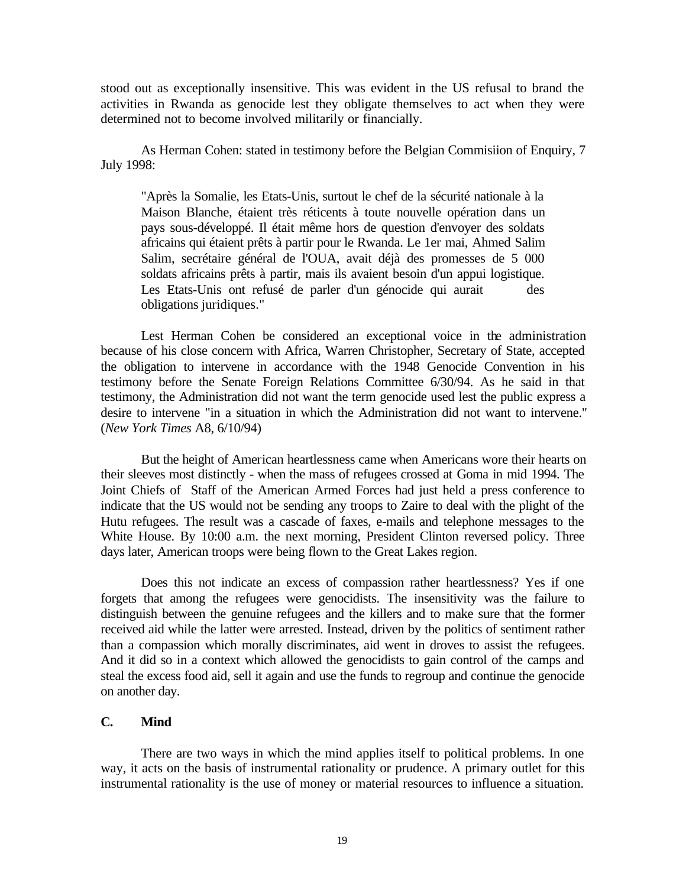stood out as exceptionally insensitive. This was evident in the US refusal to brand the activities in Rwanda as genocide lest they obligate themselves to act when they were determined not to become involved militarily or financially.

As Herman Cohen: stated in testimony before the Belgian Commisiion of Enquiry, 7 July 1998:

"Après la Somalie, les Etats-Unis, surtout le chef de la sécurité nationale à la Maison Blanche, étaient très réticents à toute nouvelle opération dans un pays sous-développé. Il était même hors de question d'envoyer des soldats africains qui étaient prêts à partir pour le Rwanda. Le 1er mai, Ahmed Salim Salim, secrétaire général de l'OUA, avait déjà des promesses de 5 000 soldats africains prêts à partir, mais ils avaient besoin d'un appui logistique. Les Etats-Unis ont refusé de parler d'un génocide qui aurait des obligations juridiques."

Lest Herman Cohen be considered an exceptional voice in the administration because of his close concern with Africa, Warren Christopher, Secretary of State, accepted the obligation to intervene in accordance with the 1948 Genocide Convention in his testimony before the Senate Foreign Relations Committee 6/30/94. As he said in that testimony, the Administration did not want the term genocide used lest the public express a desire to intervene "in a situation in which the Administration did not want to intervene." (*New York Times* A8, 6/10/94)

But the height of American heartlessness came when Americans wore their hearts on their sleeves most distinctly - when the mass of refugees crossed at Goma in mid 1994. The Joint Chiefs of Staff of the American Armed Forces had just held a press conference to indicate that the US would not be sending any troops to Zaire to deal with the plight of the Hutu refugees. The result was a cascade of faxes, e-mails and telephone messages to the White House. By 10:00 a.m. the next morning, President Clinton reversed policy. Three days later, American troops were being flown to the Great Lakes region.

Does this not indicate an excess of compassion rather heartlessness? Yes if one forgets that among the refugees were genocidists. The insensitivity was the failure to distinguish between the genuine refugees and the killers and to make sure that the former received aid while the latter were arrested. Instead, driven by the politics of sentiment rather than a compassion which morally discriminates, aid went in droves to assist the refugees. And it did so in a context which allowed the genocidists to gain control of the camps and steal the excess food aid, sell it again and use the funds to regroup and continue the genocide on another day.

# **C. Mind**

There are two ways in which the mind applies itself to political problems. In one way, it acts on the basis of instrumental rationality or prudence. A primary outlet for this instrumental rationality is the use of money or material resources to influence a situation.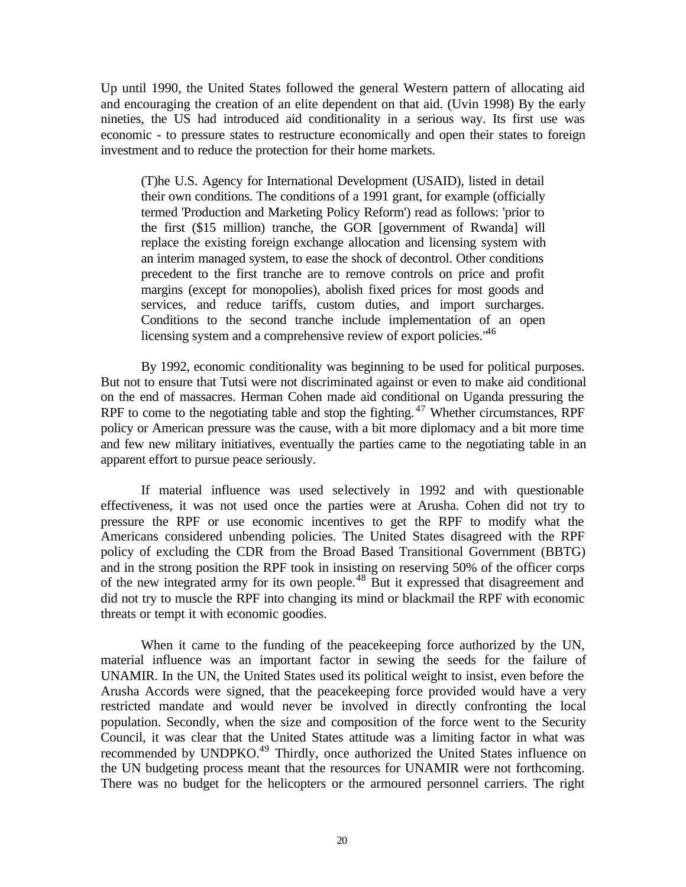Up until 1990, the United States followed the general Western pattern of allocating aid and encouraging the creation of an elite dependent on that aid. (Uvin 1998) By the early nineties, the US had introduced aid conditionality in a serious way. Its first use was economic - to pressure states to restructure economically and open their states to foreign investment and to reduce the protection for their home markets.

(T)he U.S. Agency for International Development (USAID), listed in detail their own conditions. The conditions of a 1991 grant, for example (officially termed 'Production and Marketing Policy Reform') read as follows: 'prior to the first (\$15 million) tranche, the GOR [government of Rwanda] will replace the existing foreign exchange allocation and licensing system with an interim managed system, to ease the shock of decontrol. Other conditions precedent to the first tranche are to remove controls on price and profit margins (except for monopolies), abolish fixed prices for most goods and services, and reduce tariffs, custom duties, and import surcharges. Conditions to the second tranche include implementation of an open licensing system and a comprehensive review of export policies.<sup>46</sup>

By 1992, economic conditionality was beginning to be used for political purposes. But not to ensure that Tutsi were not discriminated against or even to make aid conditional on the end of massacres. Herman Cohen made aid conditional on Uganda pressuring the RPF to come to the negotiating table and stop the fighting.  $47$  Whether circumstances, RPF policy or American pressure was the cause, with a bit more diplomacy and a bit more time and few new military initiatives, eventually the parties came to the negotiating table in an apparent effort to pursue peace seriously.

If material influence was used selectively in 1992 and with questionable effectiveness, it was not used once the parties were at Arusha. Cohen did not try to pressure the RPF or use economic incentives to get the RPF to modify what the Americans considered unbending policies. The United States disagreed with the RPF policy of excluding the CDR from the Broad Based Transitional Government (BBTG) and in the strong position the RPF took in insisting on reserving 50% of the officer corps of the new integrated army for its own people.<sup>48</sup> But it expressed that disagreement and did not try to muscle the RPF into changing its mind or blackmail the RPF with economic threats or tempt it with economic goodies.

When it came to the funding of the peacekeeping force authorized by the UN, material influence was an important factor in sewing the seeds for the failure of UNAMIR. In the UN, the United States used its political weight to insist, even before the Arusha Accords were signed, that the peacekeeping force provided would have a very restricted mandate and would never be involved in directly confronting the local population. Secondly, when the size and composition of the force went to the Security Council, it was clear that the United States attitude was a limiting factor in what was recommended by UNDPKO.<sup>49</sup> Thirdly, once authorized the United States influence on the UN budgeting process meant that the resources for UNAMIR were not forthcoming. There was no budget for the helicopters or the armoured personnel carriers. The right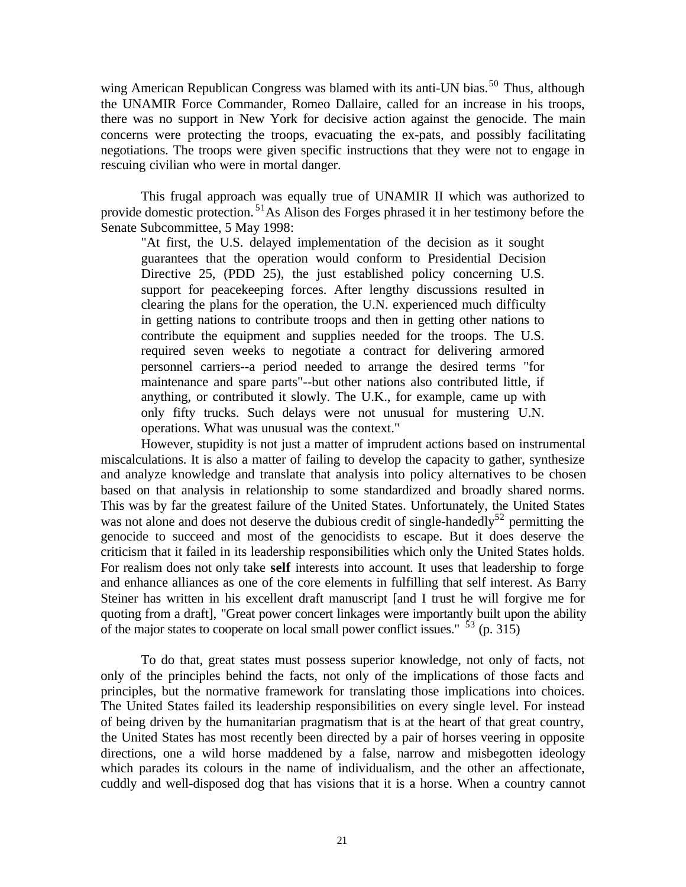wing American Republican Congress was blamed with its anti-UN bias.<sup>50</sup> Thus, although the UNAMIR Force Commander, Romeo Dallaire, called for an increase in his troops, there was no support in New York for decisive action against the genocide. The main concerns were protecting the troops, evacuating the ex-pats, and possibly facilitating negotiations. The troops were given specific instructions that they were not to engage in rescuing civilian who were in mortal danger.

This frugal approach was equally true of UNAMIR II which was authorized to provide domestic protection.<sup>51</sup>As Alison des Forges phrased it in her testimony before the Senate Subcommittee, 5 May 1998:

"At first, the U.S. delayed implementation of the decision as it sought guarantees that the operation would conform to Presidential Decision Directive 25, (PDD 25), the just established policy concerning U.S. support for peacekeeping forces. After lengthy discussions resulted in clearing the plans for the operation, the U.N. experienced much difficulty in getting nations to contribute troops and then in getting other nations to contribute the equipment and supplies needed for the troops. The U.S. required seven weeks to negotiate a contract for delivering armored personnel carriers--a period needed to arrange the desired terms "for maintenance and spare parts"--but other nations also contributed little, if anything, or contributed it slowly. The U.K., for example, came up with only fifty trucks. Such delays were not unusual for mustering U.N. operations. What was unusual was the context."

However, stupidity is not just a matter of imprudent actions based on instrumental miscalculations. It is also a matter of failing to develop the capacity to gather, synthesize and analyze knowledge and translate that analysis into policy alternatives to be chosen based on that analysis in relationship to some standardized and broadly shared norms. This was by far the greatest failure of the United States. Unfortunately, the United States was not alone and does not deserve the dubious credit of single-handedly<sup>52</sup> permitting the genocide to succeed and most of the genocidists to escape. But it does deserve the criticism that it failed in its leadership responsibilities which only the United States holds. For realism does not only take **self** interests into account. It uses that leadership to forge and enhance alliances as one of the core elements in fulfilling that self interest. As Barry Steiner has written in his excellent draft manuscript [and I trust he will forgive me for quoting from a draft], "Great power concert linkages were importantly built upon the ability of the major states to cooperate on local small power conflict issues."  $53$  (p. 315)

To do that, great states must possess superior knowledge, not only of facts, not only of the principles behind the facts, not only of the implications of those facts and principles, but the normative framework for translating those implications into choices. The United States failed its leadership responsibilities on every single level. For instead of being driven by the humanitarian pragmatism that is at the heart of that great country, the United States has most recently been directed by a pair of horses veering in opposite directions, one a wild horse maddened by a false, narrow and misbegotten ideology which parades its colours in the name of individualism, and the other an affectionate, cuddly and well-disposed dog that has visions that it is a horse. When a country cannot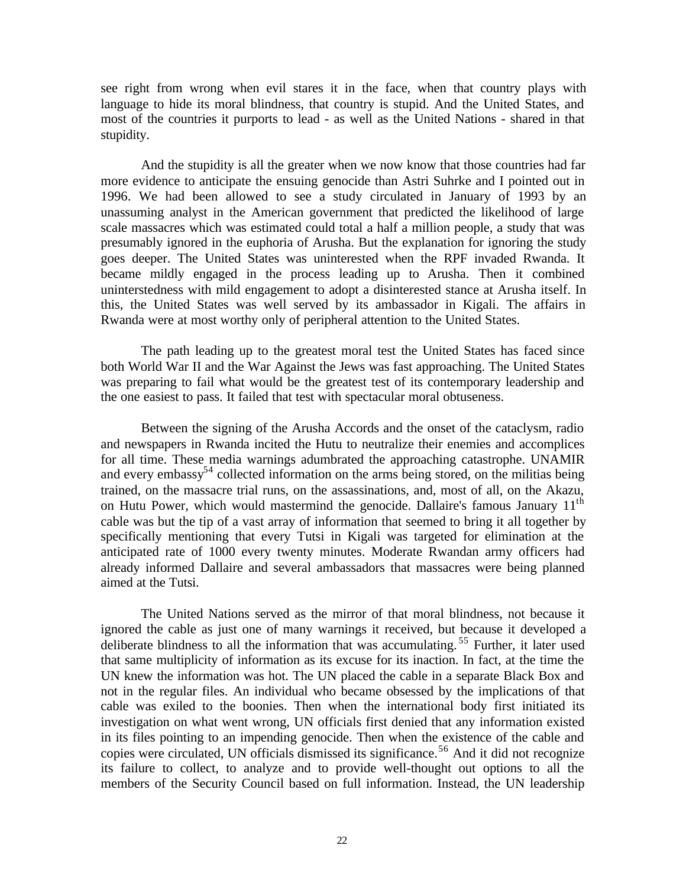see right from wrong when evil stares it in the face, when that country plays with language to hide its moral blindness, that country is stupid. And the United States, and most of the countries it purports to lead - as well as the United Nations - shared in that stupidity.

And the stupidity is all the greater when we now know that those countries had far more evidence to anticipate the ensuing genocide than Astri Suhrke and I pointed out in 1996. We had been allowed to see a study circulated in January of 1993 by an unassuming analyst in the American government that predicted the likelihood of large scale massacres which was estimated could total a half a million people, a study that was presumably ignored in the euphoria of Arusha. But the explanation for ignoring the study goes deeper. The United States was uninterested when the RPF invaded Rwanda. It became mildly engaged in the process leading up to Arusha. Then it combined uninterstedness with mild engagement to adopt a disinterested stance at Arusha itself. In this, the United States was well served by its ambassador in Kigali. The affairs in Rwanda were at most worthy only of peripheral attention to the United States.

The path leading up to the greatest moral test the United States has faced since both World War II and the War Against the Jews was fast approaching. The United States was preparing to fail what would be the greatest test of its contemporary leadership and the one easiest to pass. It failed that test with spectacular moral obtuseness.

Between the signing of the Arusha Accords and the onset of the cataclysm, radio and newspapers in Rwanda incited the Hutu to neutralize their enemies and accomplices for all time. These media warnings adumbrated the approaching catastrophe. UNAMIR and every embassy<sup>54</sup> collected information on the arms being stored, on the militias being trained, on the massacre trial runs, on the assassinations, and, most of all, on the Akazu, on Hutu Power, which would mastermind the genocide. Dallaire's famous January  $11<sup>th</sup>$ cable was but the tip of a vast array of information that seemed to bring it all together by specifically mentioning that every Tutsi in Kigali was targeted for elimination at the anticipated rate of 1000 every twenty minutes. Moderate Rwandan army officers had already informed Dallaire and several ambassadors that massacres were being planned aimed at the Tutsi.

The United Nations served as the mirror of that moral blindness, not because it ignored the cable as just one of many warnings it received, but because it developed a deliberate blindness to all the information that was accumulating.<sup>55</sup> Further, it later used that same multiplicity of information as its excuse for its inaction. In fact, at the time the UN knew the information was hot. The UN placed the cable in a separate Black Box and not in the regular files. An individual who became obsessed by the implications of that cable was exiled to the boonies. Then when the international body first initiated its investigation on what went wrong, UN officials first denied that any information existed in its files pointing to an impending genocide. Then when the existence of the cable and copies were circulated. UN officials dismissed its significance.<sup>56</sup> And it did not recognize its failure to collect, to analyze and to provide well-thought out options to all the members of the Security Council based on full information. Instead, the UN leadership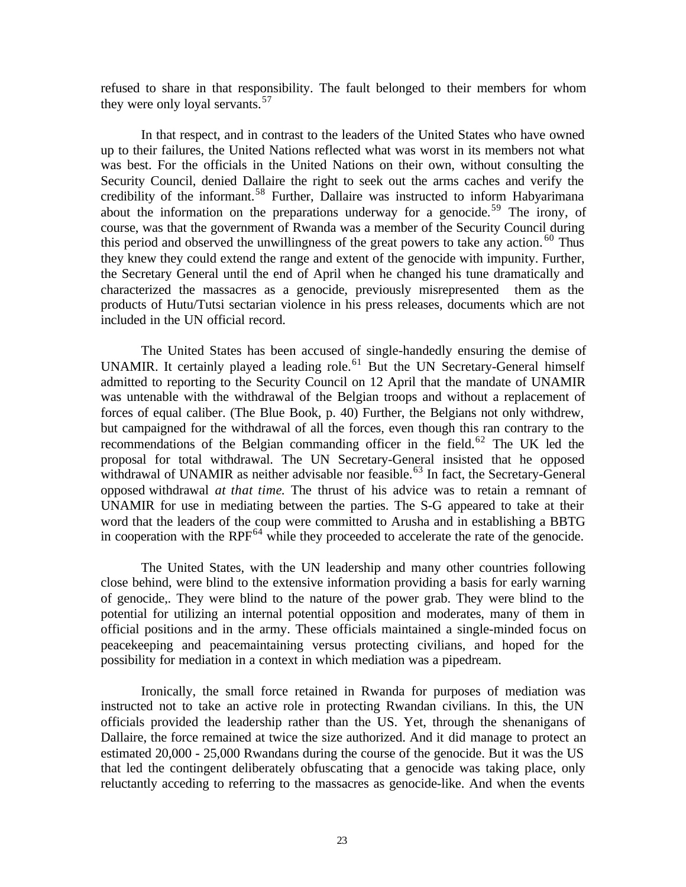refused to share in that responsibility. The fault belonged to their members for whom they were only loyal servants.<sup>57</sup>

In that respect, and in contrast to the leaders of the United States who have owned up to their failures, the United Nations reflected what was worst in its members not what was best. For the officials in the United Nations on their own, without consulting the Security Council, denied Dallaire the right to seek out the arms caches and verify the credibility of the informant.<sup>58</sup> Further, Dallaire was instructed to inform Habyarimana about the information on the preparations underway for a genocide.<sup>59</sup> The irony, of course, was that the government of Rwanda was a member of the Security Council during this period and observed the unwillingness of the great powers to take any action. <sup>60</sup> Thus they knew they could extend the range and extent of the genocide with impunity. Further, the Secretary General until the end of April when he changed his tune dramatically and characterized the massacres as a genocide, previously misrepresented them as the products of Hutu/Tutsi sectarian violence in his press releases, documents which are not included in the UN official record.

The United States has been accused of single-handedly ensuring the demise of UNAMIR. It certainly played a leading role.<sup>61</sup> But the UN Secretary-General himself admitted to reporting to the Security Council on 12 April that the mandate of UNAMIR was untenable with the withdrawal of the Belgian troops and without a replacement of forces of equal caliber. (The Blue Book, p. 40) Further, the Belgians not only withdrew, but campaigned for the withdrawal of all the forces, even though this ran contrary to the recommendations of the Belgian commanding officer in the field.<sup>62</sup> The UK led the proposal for total withdrawal. The UN Secretary-General insisted that he opposed withdrawal of UNAMIR as neither advisable nor feasible.<sup>63</sup> In fact, the Secretary-General opposed withdrawal *at that time*. The thrust of his advice was to retain a remnant of UNAMIR for use in mediating between the parties. The S-G appeared to take at their word that the leaders of the coup were committed to Arusha and in establishing a BBTG in cooperation with the  $RPF^{64}$  while they proceeded to accelerate the rate of the genocide.

The United States, with the UN leadership and many other countries following close behind, were blind to the extensive information providing a basis for early warning of genocide,. They were blind to the nature of the power grab. They were blind to the potential for utilizing an internal potential opposition and moderates, many of them in official positions and in the army. These officials maintained a single-minded focus on peacekeeping and peacemaintaining versus protecting civilians, and hoped for the possibility for mediation in a context in which mediation was a pipedream.

Ironically, the small force retained in Rwanda for purposes of mediation was instructed not to take an active role in protecting Rwandan civilians. In this, the UN officials provided the leadership rather than the US. Yet, through the shenanigans of Dallaire, the force remained at twice the size authorized. And it did manage to protect an estimated 20,000 - 25,000 Rwandans during the course of the genocide. But it was the US that led the contingent deliberately obfuscating that a genocide was taking place, only reluctantly acceding to referring to the massacres as genocide-like. And when the events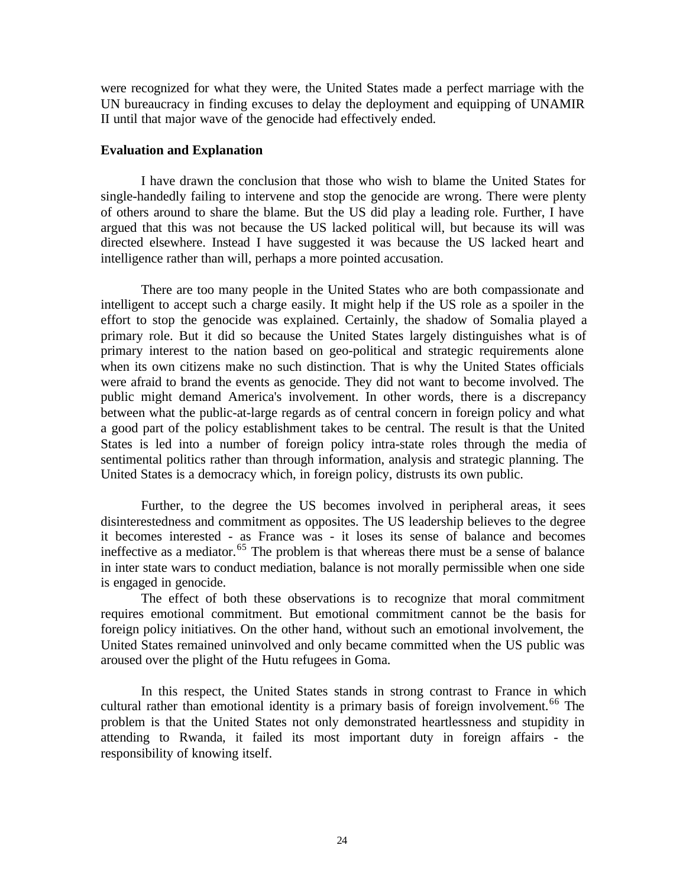were recognized for what they were, the United States made a perfect marriage with the UN bureaucracy in finding excuses to delay the deployment and equipping of UNAMIR II until that major wave of the genocide had effectively ended.

## **Evaluation and Explanation**

I have drawn the conclusion that those who wish to blame the United States for single-handedly failing to intervene and stop the genocide are wrong. There were plenty of others around to share the blame. But the US did play a leading role. Further, I have argued that this was not because the US lacked political will, but because its will was directed elsewhere. Instead I have suggested it was because the US lacked heart and intelligence rather than will, perhaps a more pointed accusation.

There are too many people in the United States who are both compassionate and intelligent to accept such a charge easily. It might help if the US role as a spoiler in the effort to stop the genocide was explained. Certainly, the shadow of Somalia played a primary role. But it did so because the United States largely distinguishes what is of primary interest to the nation based on geo-political and strategic requirements alone when its own citizens make no such distinction. That is why the United States officials were afraid to brand the events as genocide. They did not want to become involved. The public might demand America's involvement. In other words, there is a discrepancy between what the public-at-large regards as of central concern in foreign policy and what a good part of the policy establishment takes to be central. The result is that the United States is led into a number of foreign policy intra-state roles through the media of sentimental politics rather than through information, analysis and strategic planning. The United States is a democracy which, in foreign policy, distrusts its own public.

Further, to the degree the US becomes involved in peripheral areas, it sees disinterestedness and commitment as opposites. The US leadership believes to the degree it becomes interested - as France was - it loses its sense of balance and becomes ineffective as a mediator.<sup>65</sup> The problem is that whereas there must be a sense of balance in inter state wars to conduct mediation, balance is not morally permissible when one side is engaged in genocide.

The effect of both these observations is to recognize that moral commitment requires emotional commitment. But emotional commitment cannot be the basis for foreign policy initiatives. On the other hand, without such an emotional involvement, the United States remained uninvolved and only became committed when the US public was aroused over the plight of the Hutu refugees in Goma.

In this respect, the United States stands in strong contrast to France in which cultural rather than emotional identity is a primary basis of foreign involvement.<sup>66</sup> The problem is that the United States not only demonstrated heartlessness and stupidity in attending to Rwanda, it failed its most important duty in foreign affairs - the responsibility of knowing itself.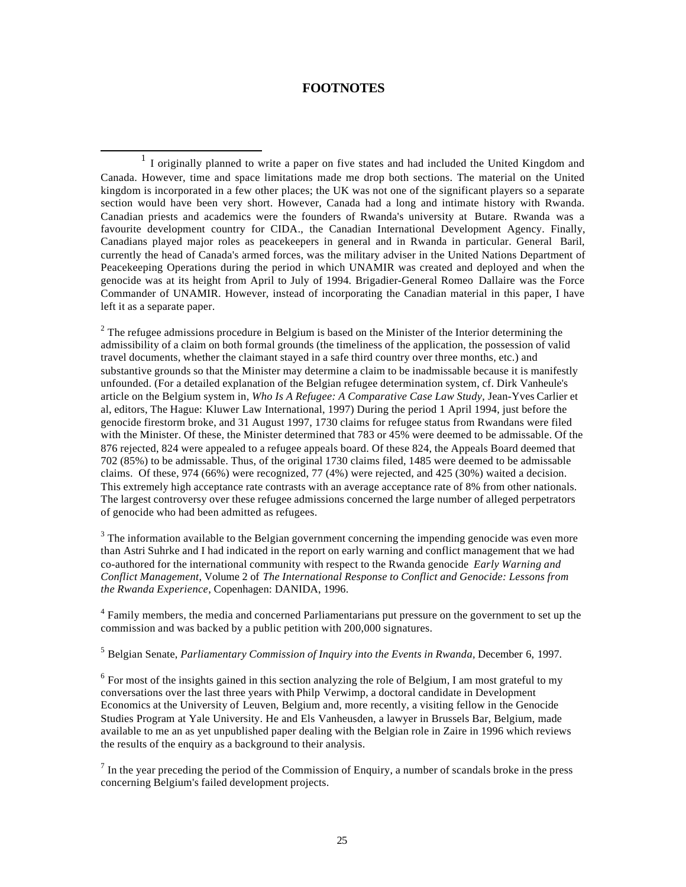## **FOOTNOTES**

l

 $2$  The refugee admissions procedure in Belgium is based on the Minister of the Interior determining the admissibility of a claim on both formal grounds (the timeliness of the application, the possession of valid travel documents, whether the claimant stayed in a safe third country over three months, etc.) and substantive grounds so that the Minister may determine a claim to be inadmissable because it is manifestly unfounded. (For a detailed explanation of the Belgian refugee determination system, cf. Dirk Vanheule's article on the Belgium system in, *Who Is A Refugee: A Comparative Case Law Study*, Jean-Yves Carlier et al, editors, The Hague: Kluwer Law International, 1997) During the period 1 April 1994, just before the genocide firestorm broke, and 31 August 1997, 1730 claims for refugee status from Rwandans were filed with the Minister. Of these, the Minister determined that 783 or 45% were deemed to be admissable. Of the 876 rejected, 824 were appealed to a refugee appeals board. Of these 824, the Appeals Board deemed that 702 (85%) to be admissable. Thus, of the original 1730 claims filed, 1485 were deemed to be admissable claims. Of these, 974 (66%) were recognized, 77 (4%) were rejected, and 425 (30%) waited a decision. This extremely high acceptance rate contrasts with an average acceptance rate of 8% from other nationals. The largest controversy over these refugee admissions concerned the large number of alleged perpetrators of genocide who had been admitted as refugees.

 $3$  The information available to the Belgian government concerning the impending genocide was even more than Astri Suhrke and I had indicated in the report on early warning and conflict management that we had co-authored for the international community with respect to the Rwanda genocide *Early Warning and Conflict Management*, Volume 2 of *The International Response to Conflict and Genocide: Lessons from the Rwanda Experience*, Copenhagen: DANIDA, 1996.

<sup>4</sup> Family members, the media and concerned Parliamentarians put pressure on the government to set up the commission and was backed by a public petition with 200,000 signatures.

<sup>5</sup> Belgian Senate, *Parliamentary Commission of Inquiry into the Events in Rwanda*, December 6, 1997.

 $6$  For most of the insights gained in this section analyzing the role of Belgium, I am most grateful to my conversations over the last three years with Philp Verwimp, a doctoral candidate in Development Economics at the University of Leuven, Belgium and, more recently, a visiting fellow in the Genocide Studies Program at Yale University. He and Els Vanheusden, a lawyer in Brussels Bar, Belgium, made available to me an as yet unpublished paper dealing with the Belgian role in Zaire in 1996 which reviews the results of the enquiry as a background to their analysis.

 $<sup>7</sup>$  In the year preceding the period of the Commission of Enquiry, a number of scandals broke in the press</sup> concerning Belgium's failed development projects.

<sup>&</sup>lt;sup>1</sup> I originally planned to write a paper on five states and had included the United Kingdom and Canada. However, time and space limitations made me drop both sections. The material on the United kingdom is incorporated in a few other places; the UK was not one of the significant players so a separate section would have been very short. However, Canada had a long and intimate history with Rwanda. Canadian priests and academics were the founders of Rwanda's university at Butare. Rwanda was a favourite development country for CIDA., the Canadian International Development Agency. Finally, Canadians played major roles as peacekeepers in general and in Rwanda in particular. General Baril, currently the head of Canada's armed forces, was the military adviser in the United Nations Department of Peacekeeping Operations during the period in which UNAMIR was created and deployed and when the genocide was at its height from April to July of 1994. Brigadier-General Romeo Dallaire was the Force Commander of UNAMIR. However, instead of incorporating the Canadian material in this paper, I have left it as a separate paper.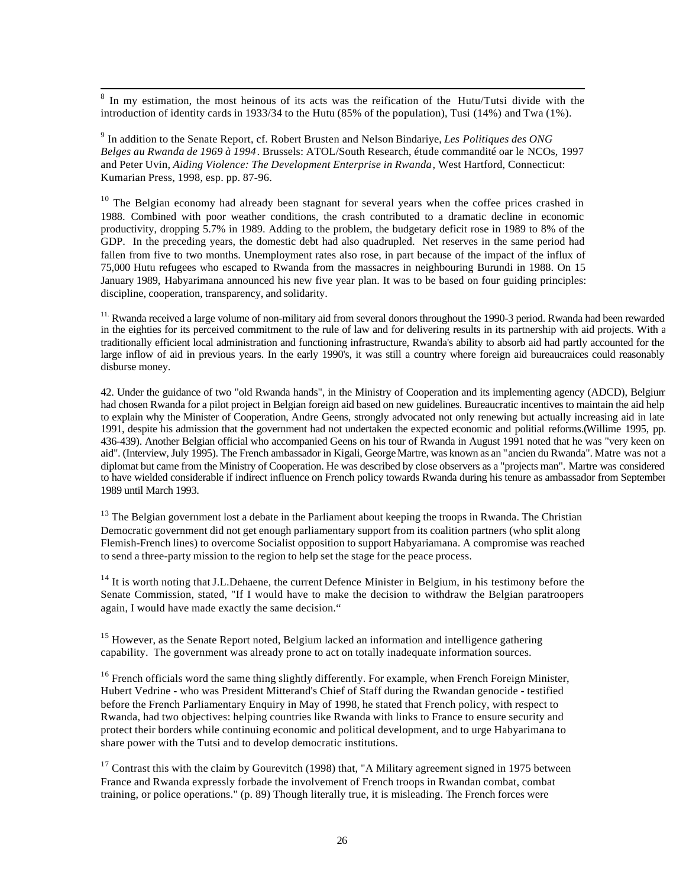<sup>8</sup> In my estimation, the most heinous of its acts was the reification of the Hutu/Tutsi divide with the introduction of identity cards in 1933/34 to the Hutu (85% of the population), Tusi (14%) and Twa (1%).

9 In addition to the Senate Report, cf. Robert Brusten and Nelson Bindariye, *Les Politiques des ONG Belges au Rwanda de 1969 à 1994*. Brussels: ATOL/South Research, étude commandité oar le NCOs, 1997 and Peter Uvin, *Aiding Violence: The Development Enterprise in Rwanda*, West Hartford, Connecticut: Kumarian Press, 1998, esp. pp. 87-96.

<sup>10</sup> The Belgian economy had already been stagnant for several years when the coffee prices crashed in 1988. Combined with poor weather conditions, the crash contributed to a dramatic decline in economic productivity, dropping 5.7% in 1989. Adding to the problem, the budgetary deficit rose in 1989 to 8% of the GDP. In the preceding years, the domestic debt had also quadrupled. Net reserves in the same period had fallen from five to two months. Unemployment rates also rose, in part because of the impact of the influx of 75,000 Hutu refugees who escaped to Rwanda from the massacres in neighbouring Burundi in 1988. On 15 January 1989, Habyarimana announced his new five year plan. It was to be based on four guiding principles: discipline, cooperation, transparency, and solidarity.

<sup>11.</sup> Rwanda received a large volume of non-military aid from several donors throughout the 1990-3 period. Rwanda had been rewarded in the eighties for its perceived commitment to the rule of law and for delivering results in its partnership with aid projects. With a traditionally efficient local administration and functioning infrastructure, Rwanda's ability to absorb aid had partly accounted for the large inflow of aid in previous years. In the early 1990's, it was still a country where foreign aid bureaucraices could reasonably disburse money.

42. Under the guidance of two "old Rwanda hands", in the Ministry of Cooperation and its implementing agency (ADCD), Belgium had chosen Rwanda for a pilot project in Belgian foreign aid based on new guidelines. Bureaucratic incentives to maintain the aid help to explain why the Minister of Cooperation, Andre Geens, strongly advocated not only renewing but actually increasing aid in late 1991, despite his admission that the government had not undertaken the expected economic and politial reforms.(Willime 1995, pp. 436-439). Another Belgian official who accompanied Geens on his tour of Rwanda in August 1991 noted that he was "very keen on aid". (Interview, July 1995). The French ambassador in Kigali, George Martre, was known as an "ancien du Rwanda". Matre was not a diplomat but came from the Ministry of Cooperation. He was described by close observers as a "projects man". Martre was considered to have wielded considerable if indirect influence on French policy towards Rwanda during his tenure as ambassador from September 1989 until March 1993.

 $13$  The Belgian government lost a debate in the Parliament about keeping the troops in Rwanda. The Christian Democratic government did not get enough parliamentary support from its coalition partners (who split along Flemish-French lines) to overcome Socialist opposition to support Habyariamana. A compromise was reached to send a three-party mission to the region to help set the stage for the peace process.

<sup>14</sup> It is worth noting that J.L.Dehaene, the current Defence Minister in Belgium, in his testimony before the Senate Commission, stated, "If I would have to make the decision to withdraw the Belgian paratroopers again, I would have made exactly the same decision."

<sup>15</sup> However, as the Senate Report noted, Belgium lacked an information and intelligence gathering capability. The government was already prone to act on totally inadequate information sources.

<sup>16</sup> French officials word the same thing slightly differently. For example, when French Foreign Minister, Hubert Vedrine - who was President Mitterand's Chief of Staff during the Rwandan genocide - testified before the French Parliamentary Enquiry in May of 1998, he stated that French policy, with respect to Rwanda, had two objectives: helping countries like Rwanda with links to France to ensure security and protect their borders while continuing economic and political development, and to urge Habyarimana to share power with the Tutsi and to develop democratic institutions.

 $17$  Contrast this with the claim by Gourevitch (1998) that, "A Military agreement signed in 1975 between France and Rwanda expressly forbade the involvement of French troops in Rwandan combat, combat training, or police operations." (p. 89) Though literally true, it is misleading. The French forces were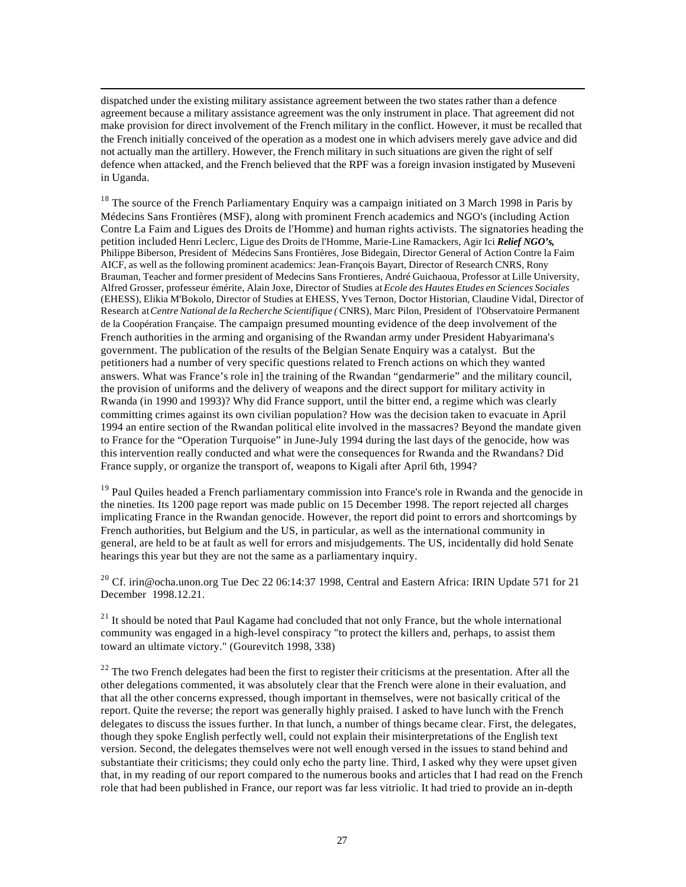dispatched under the existing military assistance agreement between the two states rather than a defence agreement because a military assistance agreement was the only instrument in place. That agreement did not make provision for direct involvement of the French military in the conflict. However, it must be recalled that the French initially conceived of the operation as a modest one in which advisers merely gave advice and did not actually man the artillery. However, the French military in such situations are given the right of self defence when attacked, and the French believed that the RPF was a foreign invasion instigated by Museveni in Uganda.

l

<sup>18</sup> The source of the French Parliamentary Enquiry was a campaign initiated on 3 March 1998 in Paris by Médecins Sans Frontières (MSF), along with prominent French academics and NGO's (including Action Contre La Faim and Ligues des Droits de l'Homme) and human rights activists. The signatories heading the petition included Henri Leclerc, Ligue des Droits de l'Homme, Marie-Line Ramackers, Agir Ici *Relief NGO's,* Philippe Biberson, President of Médecins Sans Frontières, Jose Bidegain, Director General of Action Contre la Faim AICF, as well as the following prominent academics: Jean-François Bayart, Director of Research CNRS, Rony Brauman, Teacher and former president of Medecins Sans Frontieres, André Guichaoua, Professor at Lille University, Alfred Grosser, professeur émérite, Alain Joxe, Director of Studies at *Ecole des Hautes Etudes en Sciences Sociales* (EHESS), Elikia M'Bokolo, Director of Studies at EHESS, Yves Ternon, Doctor Historian, Claudine Vidal, Director of Research at *Centre National de la Recherche Scientifique (* CNRS), Marc Pilon, President of l'Observatoire Permanent de la Coopération Française. The campaign presumed mounting evidence of the deep involvement of the French authorities in the arming and organising of the Rwandan army under President Habyarimana's government. The publication of the results of the Belgian Senate Enquiry was a catalyst. But the petitioners had a number of very specific questions related to French actions on which they wanted answers. What was France's role in] the training of the Rwandan "gendarmerie" and the military council, the provision of uniforms and the delivery of weapons and the direct support for military activity in Rwanda (in 1990 and 1993)? Why did France support, until the bitter end, a regime which was clearly committing crimes against its own civilian population? How was the decision taken to evacuate in April 1994 an entire section of the Rwandan political elite involved in the massacres? Beyond the mandate given to France for the "Operation Turquoise" in June-July 1994 during the last days of the genocide, how was this intervention really conducted and what were the consequences for Rwanda and the Rwandans? Did France supply, or organize the transport of, weapons to Kigali after April 6th, 1994?

 $19$  Paul Quiles headed a French parliamentary commission into France's role in Rwanda and the genocide in the nineties. Its 1200 page report was made public on 15 December 1998. The report rejected all charges implicating France in the Rwandan genocide. However, the report did point to errors and shortcomings by French authorities, but Belgium and the US, in particular, as well as the international community in general, are held to be at fault as well for errors and misjudgements. The US, incidentally did hold Senate hearings this year but they are not the same as a parliamentary inquiry.

<sup>20</sup> Cf. irin@ocha.unon.org Tue Dec 22 06:14:37 1998, Central and Eastern Africa: IRIN Update 571 for 21 December 1998.12.21.

 $21$  It should be noted that Paul Kagame had concluded that not only France, but the whole international community was engaged in a high-level conspiracy "to protect the killers and, perhaps, to assist them toward an ultimate victory." (Gourevitch 1998, 338)

<sup>22</sup> The two French delegates had been the first to register their criticisms at the presentation. After all the other delegations commented, it was absolutely clear that the French were alone in their evaluation, and that all the other concerns expressed, though important in themselves, were not basically critical of the report. Quite the reverse; the report was generally highly praised. I asked to have lunch with the French delegates to discuss the issues further. In that lunch, a number of things became clear. First, the delegates, though they spoke English perfectly well, could not explain their misinterpretations of the English text version. Second, the delegates themselves were not well enough versed in the issues to stand behind and substantiate their criticisms; they could only echo the party line. Third, I asked why they were upset given that, in my reading of our report compared to the numerous books and articles that I had read on the French role that had been published in France, our report was far less vitriolic. It had tried to provide an in-depth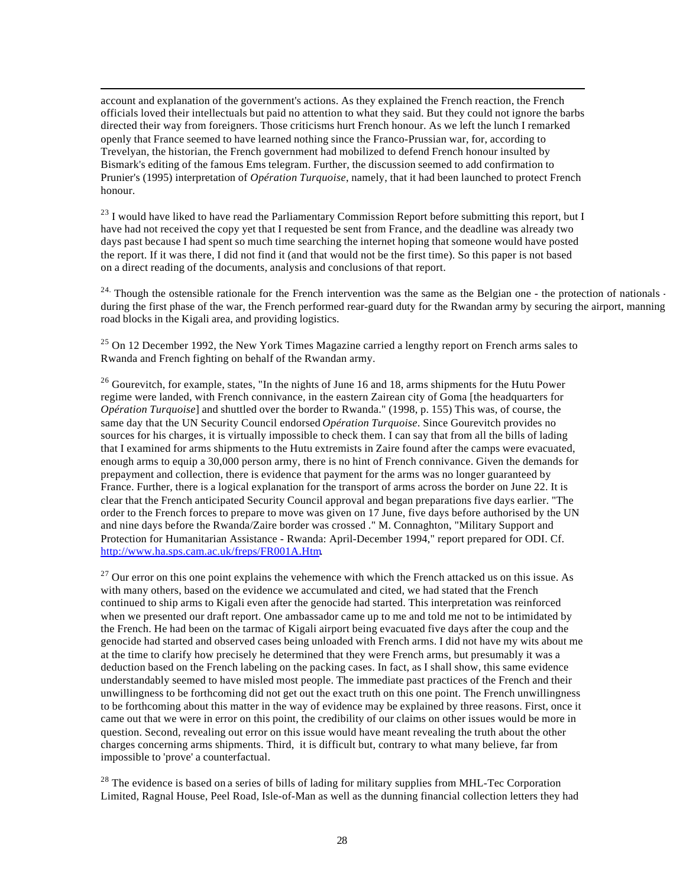account and explanation of the government's actions. As they explained the French reaction, the French officials loved their intellectuals but paid no attention to what they said. But they could not ignore the barbs directed their way from foreigners. Those criticisms hurt French honour. As we left the lunch I remarked openly that France seemed to have learned nothing since the Franco-Prussian war, for, according to Trevelyan, the historian, the French government had mobilized to defend French honour insulted by Bismark's editing of the famous Ems telegram. Further, the discussion seemed to add confirmation to Prunier's (1995) interpretation of *Opération Turquoise*, namely, that it had been launched to protect French honour.

l

<sup>23</sup> I would have liked to have read the Parliamentary Commission Report before submitting this report, but I have had not received the copy yet that I requested be sent from France, and the deadline was already two days past because I had spent so much time searching the internet hoping that someone would have posted the report. If it was there, I did not find it (and that would not be the first time). So this paper is not based on a direct reading of the documents, analysis and conclusions of that report.

<sup>24.</sup> Though the ostensible rationale for the French intervention was the same as the Belgian one - the protection of nationals during the first phase of the war, the French performed rear-guard duty for the Rwandan army by securing the airport, manning road blocks in the Kigali area, and providing logistics.

 $^{25}$  On 12 December 1992, the New York Times Magazine carried a lengthy report on French arms sales to Rwanda and French fighting on behalf of the Rwandan army.

<sup>26</sup> Gourevitch, for example, states, "In the nights of June 16 and 18, arms shipments for the Hutu Power regime were landed, with French connivance, in the eastern Zairean city of Goma [the headquarters for *Opération Turquoise*] and shuttled over the border to Rwanda." (1998, p. 155) This was, of course, the same day that the UN Security Council endorsed *Opération Turquoise*. Since Gourevitch provides no sources for his charges, it is virtually impossible to check them. I can say that from all the bills of lading that I examined for arms shipments to the Hutu extremists in Zaire found after the camps were evacuated, enough arms to equip a 30,000 person army, there is no hint of French connivance. Given the demands for prepayment and collection, there is evidence that payment for the arms was no longer guaranteed by France. Further, there is a logical explanation for the transport of arms across the border on June 22. It is clear that the French anticipated Security Council approval and began preparations five days earlier. "The order to the French forces to prepare to move was given on 17 June, five days before authorised by the UN and nine days before the Rwanda/Zaire border was crossed ." M. Connaghton, "Military Support and Protection for Humanitarian Assistance - Rwanda: April-December 1994," report prepared for ODI. Cf. http://www.ha.sps.cam.ac.uk/freps/FR001A.Htm.

<sup>27</sup> Our error on this one point explains the vehemence with which the French attacked us on this issue. As with many others, based on the evidence we accumulated and cited, we had stated that the French continued to ship arms to Kigali even after the genocide had started. This interpretation was reinforced when we presented our draft report. One ambassador came up to me and told me not to be intimidated by the French. He had been on the tarmac of Kigali airport being evacuated five days after the coup and the genocide had started and observed cases being unloaded with French arms. I did not have my wits about me at the time to clarify how precisely he determined that they were French arms, but presumably it was a deduction based on the French labeling on the packing cases. In fact, as I shall show, this same evidence understandably seemed to have misled most people. The immediate past practices of the French and their unwillingness to be forthcoming did not get out the exact truth on this one point. The French unwillingness to be forthcoming about this matter in the way of evidence may be explained by three reasons. First, once it came out that we were in error on this point, the credibility of our claims on other issues would be more in question. Second, revealing out error on this issue would have meant revealing the truth about the other charges concerning arms shipments. Third, it is difficult but, contrary to what many believe, far from impossible to 'prove' a counterfactual.

 $^{28}$  The evidence is based on a series of bills of lading for military supplies from MHL-Tec Corporation Limited, Ragnal House, Peel Road, Isle-of-Man as well as the dunning financial collection letters they had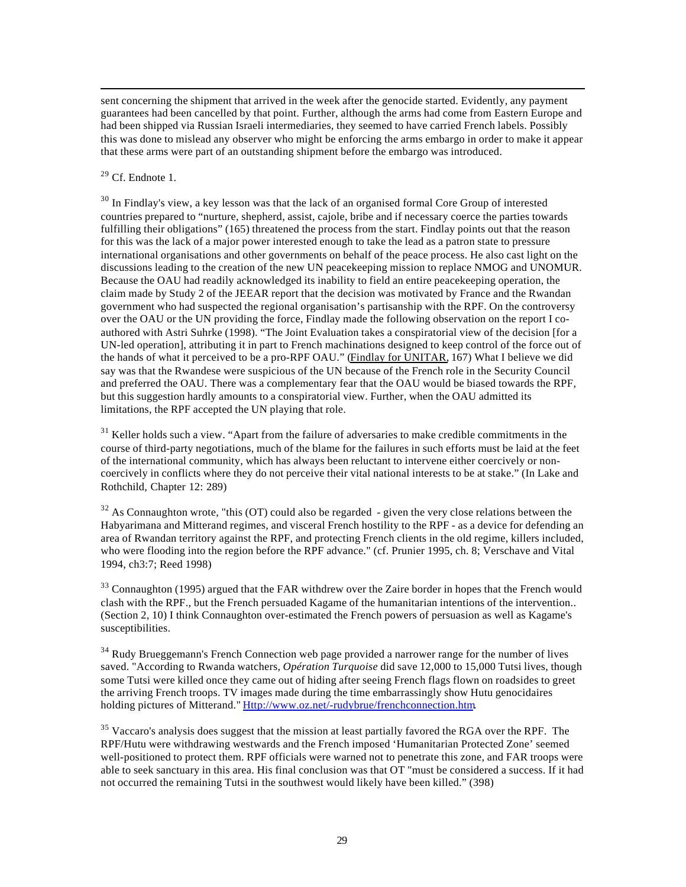sent concerning the shipment that arrived in the week after the genocide started. Evidently, any payment guarantees had been cancelled by that point. Further, although the arms had come from Eastern Europe and had been shipped via Russian Israeli intermediaries, they seemed to have carried French labels. Possibly this was done to mislead any observer who might be enforcing the arms embargo in order to make it appear that these arms were part of an outstanding shipment before the embargo was introduced.

# $29$  Cf. Endnote 1.

l

 $30$  In Findlay's view, a key lesson was that the lack of an organised formal Core Group of interested countries prepared to "nurture, shepherd, assist, cajole, bribe and if necessary coerce the parties towards fulfilling their obligations" (165) threatened the process from the start. Findlay points out that the reason for this was the lack of a major power interested enough to take the lead as a patron state to pressure international organisations and other governments on behalf of the peace process. He also cast light on the discussions leading to the creation of the new UN peacekeeping mission to replace NMOG and UNOMUR. Because the OAU had readily acknowledged its inability to field an entire peacekeeping operation, the claim made by Study 2 of the JEEAR report that the decision was motivated by France and the Rwandan government who had suspected the regional organisation's partisanship with the RPF. On the controversy over the OAU or the UN providing the force, Findlay made the following observation on the report I coauthored with Astri Suhrke (1998). "The Joint Evaluation takes a conspiratorial view of the decision [for a UN-led operation], attributing it in part to French machinations designed to keep control of the force out of the hands of what it perceived to be a pro-RPF OAU." (Findlay for UNITAR, 167) What I believe we did say was that the Rwandese were suspicious of the UN because of the French role in the Security Council and preferred the OAU. There was a complementary fear that the OAU would be biased towards the RPF, but this suggestion hardly amounts to a conspiratorial view. Further, when the OAU admitted its limitations, the RPF accepted the UN playing that role.

<sup>31</sup> Keller holds such a view. "Apart from the failure of adversaries to make credible commitments in the course of third-party negotiations, much of the blame for the failures in such efforts must be laid at the feet of the international community, which has always been reluctant to intervene either coercively or noncoercively in conflicts where they do not perceive their vital national interests to be at stake." (In Lake and Rothchild, Chapter 12: 289)

 $32$  As Connaughton wrote, "this (OT) could also be regarded - given the very close relations between the Habyarimana and Mitterand regimes, and visceral French hostility to the RPF - as a device for defending an area of Rwandan territory against the RPF, and protecting French clients in the old regime, killers included, who were flooding into the region before the RPF advance." (cf. Prunier 1995, ch. 8; Verschave and Vital 1994, ch3:7; Reed 1998)

<sup>33</sup> Connaughton (1995) argued that the FAR withdrew over the Zaire border in hopes that the French would clash with the RPF., but the French persuaded Kagame of the humanitarian intentions of the intervention.. (Section 2, 10) I think Connaughton over-estimated the French powers of persuasion as well as Kagame's susceptibilities.

<sup>34</sup> Rudy Brueggemann's French Connection web page provided a narrower range for the number of lives saved. "According to Rwanda watchers, *Opération Turquoise* did save 12,000 to 15,000 Tutsi lives, though some Tutsi were killed once they came out of hiding after seeing French flags flown on roadsides to greet the arriving French troops. TV images made during the time embarrassingly show Hutu genocidaires holding pictures of Mitterand." Http://www.oz.net/-rudybrue/frenchconnection.htm

<sup>35</sup> Vaccaro's analysis does suggest that the mission at least partially favored the RGA over the RPF. The RPF/Hutu were withdrawing westwards and the French imposed 'Humanitarian Protected Zone' seemed well-positioned to protect them. RPF officials were warned not to penetrate this zone, and FAR troops were able to seek sanctuary in this area. His final conclusion was that OT "must be considered a success. If it had not occurred the remaining Tutsi in the southwest would likely have been killed." (398)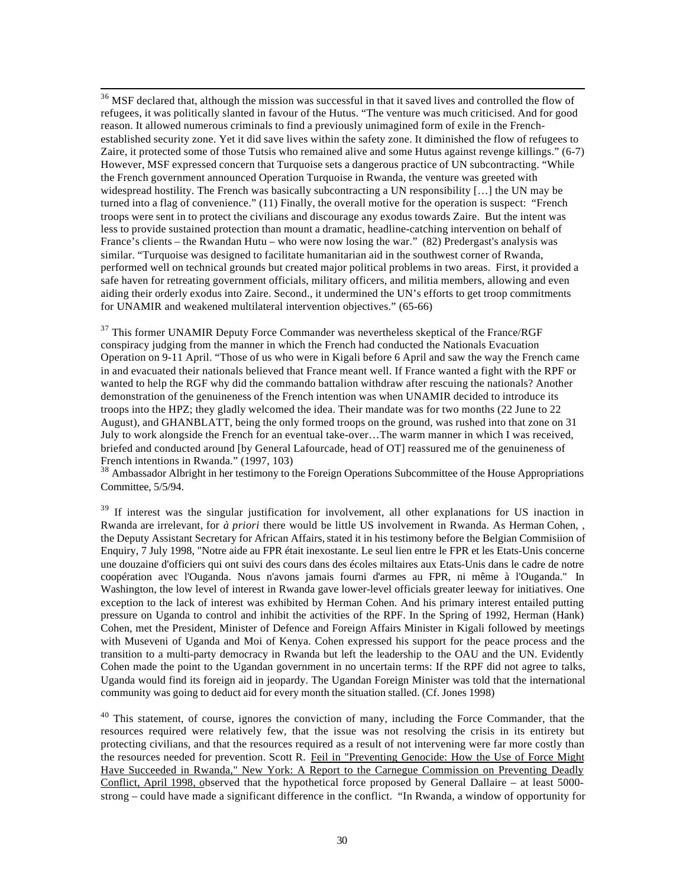$36$  MSF declared that, although the mission was successful in that it saved lives and controlled the flow of refugees, it was politically slanted in favour of the Hutus. "The venture was much criticised. And for good reason. It allowed numerous criminals to find a previously unimagined form of exile in the Frenchestablished security zone. Yet it did save lives within the safety zone. It diminished the flow of refugees to Zaire, it protected some of those Tutsis who remained alive and some Hutus against revenge killings." (6-7) However, MSF expressed concern that Turquoise sets a dangerous practice of UN subcontracting. "While the French government announced Operation Turquoise in Rwanda, the venture was greeted with widespread hostility. The French was basically subcontracting a UN responsibility […] the UN may be turned into a flag of convenience." (11) Finally, the overall motive for the operation is suspect: "French troops were sent in to protect the civilians and discourage any exodus towards Zaire. But the intent was less to provide sustained protection than mount a dramatic, headline-catching intervention on behalf of France's clients – the Rwandan Hutu – who were now losing the war." (82) Predergast's analysis was similar. "Turquoise was designed to facilitate humanitarian aid in the southwest corner of Rwanda, performed well on technical grounds but created major political problems in two areas. First, it provided a safe haven for retreating government officials, military officers, and militia members, allowing and even aiding their orderly exodus into Zaire. Second., it undermined the UN's efforts to get troop commitments for UNAMIR and weakened multilateral intervention objectives." (65-66)

l

 $37$  This former UNAMIR Deputy Force Commander was nevertheless skeptical of the France/RGF conspiracy judging from the manner in which the French had conducted the Nationals Evacuation Operation on 9-11 April. "Those of us who were in Kigali before 6 April and saw the way the French came in and evacuated their nationals believed that France meant well. If France wanted a fight with the RPF or wanted to help the RGF why did the commando battalion withdraw after rescuing the nationals? Another demonstration of the genuineness of the French intention was when UNAMIR decided to introduce its troops into the HPZ; they gladly welcomed the idea. Their mandate was for two months (22 June to 22 August), and GHANBLATT, being the only formed troops on the ground, was rushed into that zone on 31 July to work alongside the French for an eventual take-over…The warm manner in which I was received, briefed and conducted around [by General Lafourcade, head of OT] reassured me of the genuineness of French intentions in Rwanda." (1997, 103)

<sup>38</sup> Ambassador Albright in her testimony to the Foreign Operations Subcommittee of the House Appropriations Committee, 5/5/94.

<sup>39</sup> If interest was the singular justification for involvement, all other explanations for US inaction in Rwanda are irrelevant, for *à priori* there would be little US involvement in Rwanda. As Herman Cohen, , the Deputy Assistant Secretary for African Affairs, stated it in his testimony before the Belgian Commisiion of Enquiry, 7 July 1998, "Notre aide au FPR était inexostante. Le seul lien entre le FPR et les Etats-Unis concerne une douzaine d'officiers qui ont suivi des cours dans des écoles miltaires aux Etats-Unis dans le cadre de notre coopération avec l'Ouganda. Nous n'avons jamais fourni d'armes au FPR, ni même à l'Ouganda." In Washington, the low level of interest in Rwanda gave lower-level officials greater leeway for initiatives. One exception to the lack of interest was exhibited by Herman Cohen. And his primary interest entailed putting pressure on Uganda to control and inhibit the activities of the RPF. In the Spring of 1992, Herman (Hank) Cohen, met the President, Minister of Defence and Foreign Affairs Minister in Kigali followed by meetings with Museveni of Uganda and Moi of Kenya. Cohen expressed his support for the peace process and the transition to a multi-party democracy in Rwanda but left the leadership to the OAU and the UN. Evidently Cohen made the point to the Ugandan government in no uncertain terms: If the RPF did not agree to talks, Uganda would find its foreign aid in jeopardy. The Ugandan Foreign Minister was told that the international community was going to deduct aid for every month the situation stalled. (Cf. Jones 1998)

<sup>40</sup> This statement, of course, ignores the conviction of many, including the Force Commander, that the resources required were relatively few, that the issue was not resolving the crisis in its entirety but protecting civilians, and that the resources required as a result of not intervening were far more costly than the resources needed for prevention. Scott R. Feil in "Preventing Genocide: How the Use of Force Might Have Succeeded in Rwanda," New York: A Report to the Carnegue Commission on Preventing Deadly Conflict, April 1998, observed that the hypothetical force proposed by General Dallaire – at least 5000strong – could have made a significant difference in the conflict. "In Rwanda, a window of opportunity for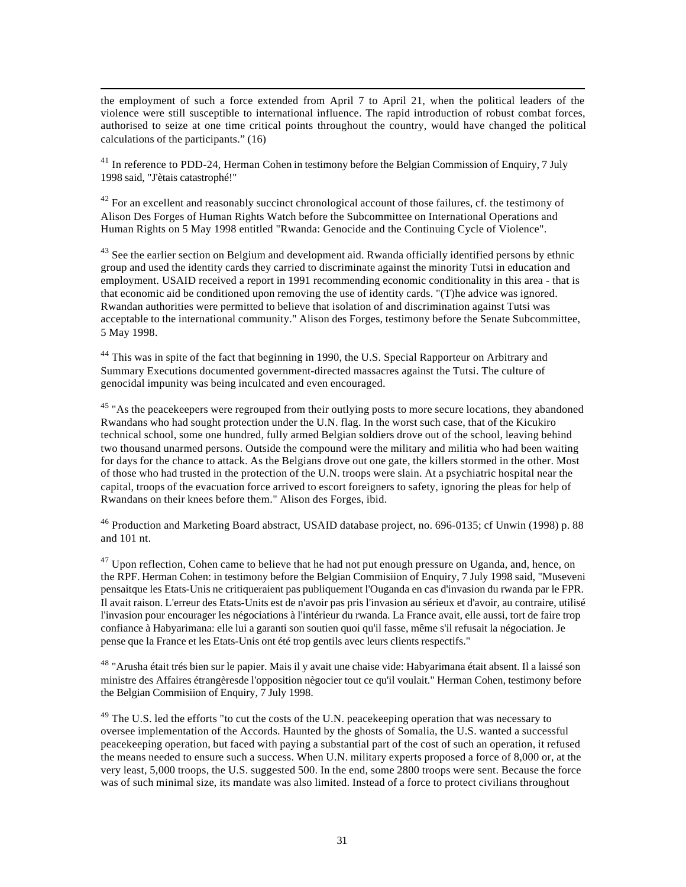the employment of such a force extended from April 7 to April 21, when the political leaders of the violence were still susceptible to international influence. The rapid introduction of robust combat forces, authorised to seize at one time critical points throughout the country, would have changed the political calculations of the participants." (16)

l

 $41$  In reference to PDD-24, Herman Cohen in testimony before the Belgian Commission of Enquiry, 7 July 1998 said, "J'ètais catastrophé!"

 $42$  For an excellent and reasonably succinct chronological account of those failures, cf. the testimony of Alison Des Forges of Human Rights Watch before the Subcommittee on International Operations and Human Rights on 5 May 1998 entitled "Rwanda: Genocide and the Continuing Cycle of Violence".

 $43$  See the earlier section on Belgium and development aid. Rwanda officially identified persons by ethnic group and used the identity cards they carried to discriminate against the minority Tutsi in education and employment. USAID received a report in 1991 recommending economic conditionality in this area - that is that economic aid be conditioned upon removing the use of identity cards. "(T)he advice was ignored. Rwandan authorities were permitted to believe that isolation of and discrimination against Tutsi was acceptable to the international community." Alison des Forges, testimony before the Senate Subcommittee, 5 May 1998.

<sup>44</sup> This was in spite of the fact that beginning in 1990, the U.S. Special Rapporteur on Arbitrary and Summary Executions documented government-directed massacres against the Tutsi. The culture of genocidal impunity was being inculcated and even encouraged.

<sup>45</sup> "As the peacekeepers were regrouped from their outlying posts to more secure locations, they abandoned Rwandans who had sought protection under the U.N. flag. In the worst such case, that of the Kicukiro technical school, some one hundred, fully armed Belgian soldiers drove out of the school, leaving behind two thousand unarmed persons. Outside the compound were the military and militia who had been waiting for days for the chance to attack. As the Belgians drove out one gate, the killers stormed in the other. Most of those who had trusted in the protection of the U.N. troops were slain. At a psychiatric hospital near the capital, troops of the evacuation force arrived to escort foreigners to safety, ignoring the pleas for help of Rwandans on their knees before them." Alison des Forges, ibid.

<sup>46</sup> Production and Marketing Board abstract, USAID database project, no. 696-0135; cf Unwin (1998) p. 88 and 101 nt.

 $^{47}$  Upon reflection, Cohen came to believe that he had not put enough pressure on Uganda, and, hence, on the RPF. Herman Cohen: in testimony before the Belgian Commisiion of Enquiry, 7 July 1998 said, "Museveni pensaitque les Etats-Unis ne critiqueraient pas publiquement l'Ouganda en cas d'invasion du rwanda par le FPR. Il avait raison. L'erreur des Etats-Units est de n'avoir pas pris l'invasion au sérieux et d'avoir, au contraire, utilisé l'invasion pour encourager les négociations à l'intérieur du rwanda. La France avait, elle aussi, tort de faire trop confiance à Habyarimana: elle lui a garanti son soutien quoi qu'il fasse, même s'il refusait la négociation. Je pense que la France et les Etats-Unis ont été trop gentils avec leurs clients respectifs."

<sup>48</sup> "Arusha était trés bien sur le papier. Mais il y avait une chaise vide: Habyarimana était absent. Il a laissé son ministre des Affaires étrangèresde l'opposition nègocier tout ce qu'il voulait." Herman Cohen, testimony before the Belgian Commisiion of Enquiry, 7 July 1998.

<sup>49</sup> The U.S. led the efforts "to cut the costs of the U.N. peacekeeping operation that was necessary to oversee implementation of the Accords. Haunted by the ghosts of Somalia, the U.S. wanted a successful peacekeeping operation, but faced with paying a substantial part of the cost of such an operation, it refused the means needed to ensure such a success. When U.N. military experts proposed a force of 8,000 or, at the very least, 5,000 troops, the U.S. suggested 500. In the end, some 2800 troops were sent. Because the force was of such minimal size, its mandate was also limited. Instead of a force to protect civilians throughout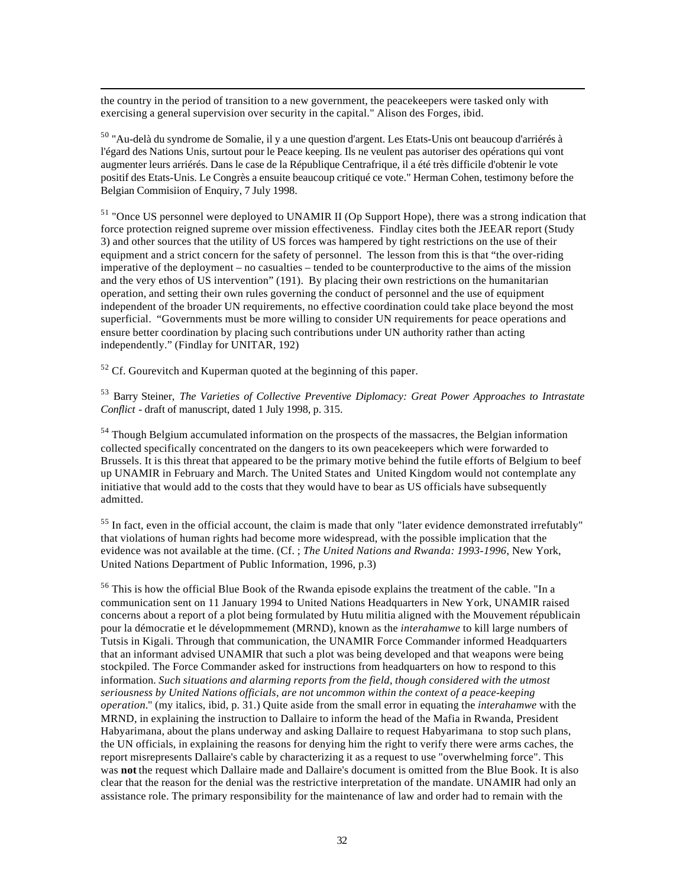the country in the period of transition to a new government, the peacekeepers were tasked only with exercising a general supervision over security in the capital." Alison des Forges, ibid.

<sup>50</sup> "Au-delà du syndrome de Somalie, il y a une question d'argent. Les Etats-Unis ont beaucoup d'arriérés à l'égard des Nations Unis, surtout pour le Peace keeping. Ils ne veulent pas autoriser des opérations qui vont augmenter leurs arriérés. Dans le case de la République Centrafrique, il a été très difficile d'obtenir le vote positif des Etats-Unis. Le Congrès a ensuite beaucoup critiqué ce vote." Herman Cohen, testimony before the Belgian Commisiion of Enquiry, 7 July 1998.

<sup>51</sup> "Once US personnel were deployed to UNAMIR II (Op Support Hope), there was a strong indication that force protection reigned supreme over mission effectiveness. Findlay cites both the JEEAR report (Study 3) and other sources that the utility of US forces was hampered by tight restrictions on the use of their equipment and a strict concern for the safety of personnel. The lesson from this is that "the over-riding imperative of the deployment – no casualties – tended to be counterproductive to the aims of the mission and the very ethos of US intervention" (191). By placing their own restrictions on the humanitarian operation, and setting their own rules governing the conduct of personnel and the use of equipment independent of the broader UN requirements, no effective coordination could take place beyond the most superficial. "Governments must be more willing to consider UN requirements for peace operations and ensure better coordination by placing such contributions under UN authority rather than acting independently." (Findlay for UNITAR, 192)

 $52$  Cf. Gourevitch and Kuperman quoted at the beginning of this paper.

l

<sup>53</sup> Barry Steiner, *The Varieties of Collective Preventive Diplomacy: Great Power Approaches to Intrastate Conflict* - draft of manuscript, dated 1 July 1998, p. 315.

<sup>54</sup> Though Belgium accumulated information on the prospects of the massacres, the Belgian information collected specifically concentrated on the dangers to its own peacekeepers which were forwarded to Brussels. It is this threat that appeared to be the primary motive behind the futile efforts of Belgium to beef up UNAMIR in February and March. The United States and United Kingdom would not contemplate any initiative that would add to the costs that they would have to bear as US officials have subsequently admitted.

 $55$  In fact, even in the official account, the claim is made that only "later evidence demonstrated irrefutably" that violations of human rights had become more widespread, with the possible implication that the evidence was not available at the time. (Cf. ; *The United Nations and Rwanda: 1993-1996*, New York, United Nations Department of Public Information, 1996, p.3)

<sup>56</sup> This is how the official Blue Book of the Rwanda episode explains the treatment of the cable. "In a communication sent on 11 January 1994 to United Nations Headquarters in New York, UNAMIR raised concerns about a report of a plot being formulated by Hutu militia aligned with the Mouvement républicain pour la démocratie et le dévelopmmement (MRND), known as the *interahamwe* to kill large numbers of Tutsis in Kigali. Through that communication, the UNAMIR Force Commander informed Headquarters that an informant advised UNAMIR that such a plot was being developed and that weapons were being stockpiled. The Force Commander asked for instructions from headquarters on how to respond to this information. *Such situations and alarming reports from the field, though considered with the utmost seriousness by United Nations officials, are not uncommon within the context of a peace-keeping operation.*" (my italics, ibid, p. 31.) Quite aside from the small error in equating the *interahamwe* with the MRND, in explaining the instruction to Dallaire to inform the head of the Mafia in Rwanda, President Habyarimana, about the plans underway and asking Dallaire to request Habyarimana to stop such plans, the UN officials, in explaining the reasons for denying him the right to verify there were arms caches, the report misrepresents Dallaire's cable by characterizing it as a request to use "overwhelming force". This was **not** the request which Dallaire made and Dallaire's document is omitted from the Blue Book. It is also clear that the reason for the denial was the restrictive interpretation of the mandate. UNAMIR had only an assistance role. The primary responsibility for the maintenance of law and order had to remain with the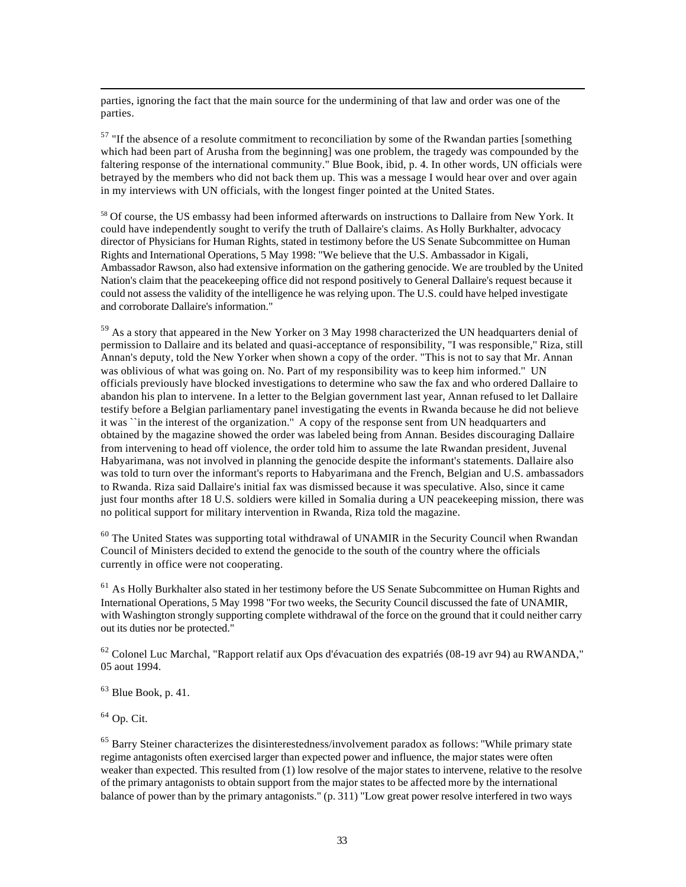parties, ignoring the fact that the main source for the undermining of that law and order was one of the parties.

 $57$  "If the absence of a resolute commitment to reconciliation by some of the Rwandan parties [something] which had been part of Arusha from the beginning] was one problem, the tragedy was compounded by the faltering response of the international community." Blue Book, ibid, p. 4. In other words, UN officials were betrayed by the members who did not back them up. This was a message I would hear over and over again in my interviews with UN officials, with the longest finger pointed at the United States.

<sup>58</sup> Of course, the US embassy had been informed afterwards on instructions to Dallaire from New York. It could have independently sought to verify the truth of Dallaire's claims. As Holly Burkhalter, advocacy director of Physicians for Human Rights, stated in testimony before the US Senate Subcommittee on Human Rights and International Operations, 5 May 1998: "We believe that the U.S. Ambassador in Kigali, Ambassador Rawson, also had extensive information on the gathering genocide. We are troubled by the United Nation's claim that the peacekeeping office did not respond positively to General Dallaire's request because it could not assess the validity of the intelligence he was relying upon. The U.S. could have helped investigate and corroborate Dallaire's information."

<sup>59</sup> As a story that appeared in the New Yorker on 3 May 1998 characterized the UN headquarters denial of permission to Dallaire and its belated and quasi-acceptance of responsibility, "I was responsible,'' Riza, still Annan's deputy, told the New Yorker when shown a copy of the order. "This is not to say that Mr. Annan was oblivious of what was going on. No. Part of my responsibility was to keep him informed.'' UN officials previously have blocked investigations to determine who saw the fax and who ordered Dallaire to abandon his plan to intervene. In a letter to the Belgian government last year, Annan refused to let Dallaire testify before a Belgian parliamentary panel investigating the events in Rwanda because he did not believe it was ``in the interest of the organization.'' A copy of the response sent from UN headquarters and obtained by the magazine showed the order was labeled being from Annan. Besides discouraging Dallaire from intervening to head off violence, the order told him to assume the late Rwandan president, Juvenal Habyarimana, was not involved in planning the genocide despite the informant's statements. Dallaire also was told to turn over the informant's reports to Habyarimana and the French, Belgian and U.S. ambassadors to Rwanda. Riza said Dallaire's initial fax was dismissed because it was speculative. Also, since it came just four months after 18 U.S. soldiers were killed in Somalia during a UN peacekeeping mission, there was no political support for military intervention in Rwanda, Riza told the magazine.

<sup>60</sup> The United States was supporting total withdrawal of UNAMIR in the Security Council when Rwandan Council of Ministers decided to extend the genocide to the south of the country where the officials currently in office were not cooperating.

 $<sup>61</sup>$  As Holly Burkhalter also stated in her testimony before the US Senate Subcommittee on Human Rights and</sup> International Operations, 5 May 1998 "For two weeks, the Security Council discussed the fate of UNAMIR, with Washington strongly supporting complete withdrawal of the force on the ground that it could neither carry out its duties nor be protected."

 $62$  Colonel Luc Marchal, "Rapport relatif aux Ops d'évacuation des expatriés (08-19 avr 94) au RWANDA," 05 aout 1994.

 $63$  Blue Book, p. 41.

 $64$  Op. Cit.

l

<sup>65</sup> Barry Steiner characterizes the disinterestedness/involvement paradox as follows: "While primary state regime antagonists often exercised larger than expected power and influence, the major states were often weaker than expected. This resulted from (1) low resolve of the major states to intervene, relative to the resolve of the primary antagonists to obtain support from the major states to be affected more by the international balance of power than by the primary antagonists." (p. 311) "Low great power resolve interfered in two ways